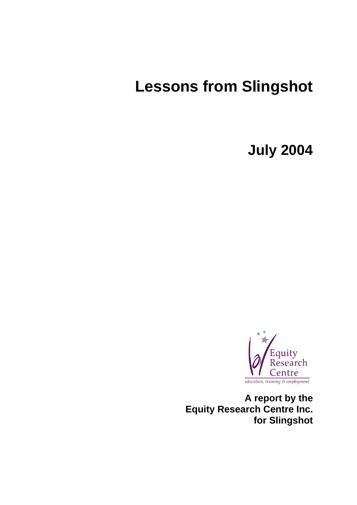# **Lessons from Slingshot**

**July 2004** 



**A report by the Equity Research Centre Inc. for Slingshot**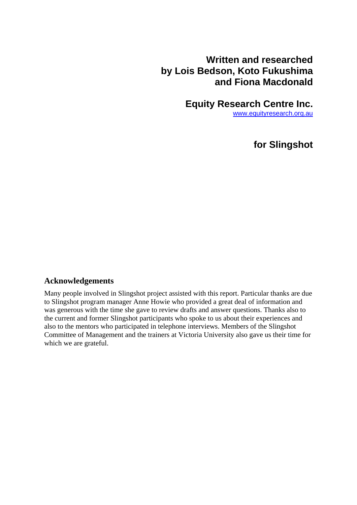## **Written and researched by Lois Bedson, Koto Fukushima and Fiona Macdonald**

**Equity Research Centre Inc.** 

[www.equityresearch.org.au](http://www.equityresearch.org.au/)

**for Slingshot** 

#### **Acknowledgements**

Many people involved in Slingshot project assisted with this report. Particular thanks are due to Slingshot program manager Anne Howie who provided a great deal of information and was generous with the time she gave to review drafts and answer questions. Thanks also to the current and former Slingshot participants who spoke to us about their experiences and also to the mentors who participated in telephone interviews. Members of the Slingshot Committee of Management and the trainers at Victoria University also gave us their time for which we are grateful.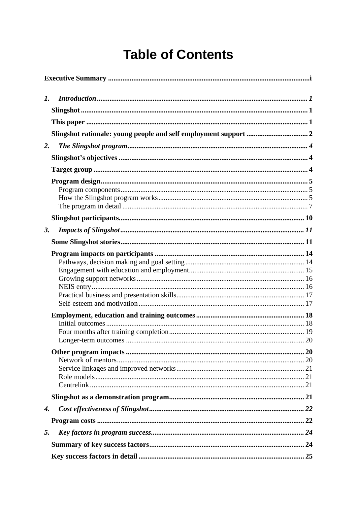# **Table of Contents**

| 1. |  |
|----|--|
|    |  |
|    |  |
|    |  |
| 2. |  |
|    |  |
|    |  |
|    |  |
|    |  |
| 3. |  |
|    |  |
|    |  |
|    |  |
|    |  |
|    |  |
|    |  |
| 4. |  |
|    |  |
| 5. |  |
|    |  |
|    |  |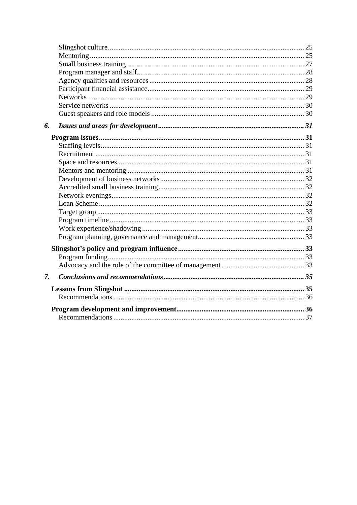| 6.              |  |
|-----------------|--|
|                 |  |
|                 |  |
|                 |  |
|                 |  |
|                 |  |
|                 |  |
|                 |  |
|                 |  |
|                 |  |
|                 |  |
|                 |  |
|                 |  |
|                 |  |
|                 |  |
|                 |  |
|                 |  |
| $\mathcal{I}$ . |  |
|                 |  |
|                 |  |
|                 |  |
|                 |  |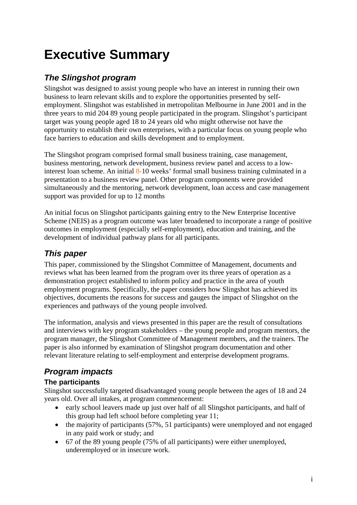# **Executive Summary**

## *The Slingshot program*

Slingshot was designed to assist young people who have an interest in running their own business to learn relevant skills and to explore the opportunities presented by selfemployment. Slingshot was established in metropolitan Melbourne in June 2001 and in the three years to mid 204 89 young people participated in the program. Slingshot's participant target was young people aged 18 to 24 years old who might otherwise not have the opportunity to establish their own enterprises, with a particular focus on young people who face barriers to education and skills development and to employment.

The Slingshot program comprised formal small business training, case management, business mentoring, network development, business review panel and access to a lowinterest loan scheme. An initial  $8-10$  weeks' formal small business training culminated in a presentation to a business review panel. Other program components were provided simultaneously and the mentoring, network development, loan access and case management support was provided for up to 12 months

An initial focus on Slingshot participants gaining entry to the New Enterprise Incentive Scheme (NEIS) as a program outcome was later broadened to incorporate a range of positive outcomes in employment (especially self-employment), education and training, and the development of individual pathway plans for all participants.

## *This paper*

This paper, commissioned by the Slingshot Committee of Management, documents and reviews what has been learned from the program over its three years of operation as a demonstration project established to inform policy and practice in the area of youth employment programs. Specifically, the paper considers how Slingshot has achieved its objectives, documents the reasons for success and gauges the impact of Slingshot on the experiences and pathways of the young people involved.

The information, analysis and views presented in this paper are the result of consultations and interviews with key program stakeholders – the young people and program mentors, the program manager, the Slingshot Committee of Management members, and the trainers. The paper is also informed by examination of Slingshot program documentation and other relevant literature relating to self-employment and enterprise development programs.

# *Program impacts*

### **The participants**

Slingshot successfully targeted disadvantaged young people between the ages of 18 and 24 years old. Over all intakes, at program commencement:

- early school leavers made up just over half of all Slingshot participants, and half of this group had left school before completing year 11;
- the majority of participants (57%, 51 participants) were unemployed and not engaged in any paid work or study; and
- 67 of the 89 young people (75% of all participants) were either unemployed, underemployed or in insecure work.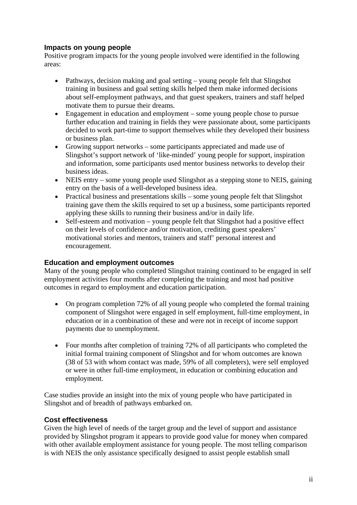#### **Impacts on young people**

Positive program impacts for the young people involved were identified in the following areas:

- Pathways, decision making and goal setting young people felt that Slingshot training in business and goal setting skills helped them make informed decisions about self-employment pathways, and that guest speakers, trainers and staff helped motivate them to pursue their dreams.
- Engagement in education and employment some young people chose to pursue further education and training in fields they were passionate about, some participants decided to work part-time to support themselves while they developed their business or business plan.
- Growing support networks some participants appreciated and made use of Slingshot's support network of 'like-minded' young people for support, inspiration and information, some participants used mentor business networks to develop their business ideas.
- NEIS entry some young people used Slingshot as a stepping stone to NEIS, gaining entry on the basis of a well-developed business idea.
- Practical business and presentations skills some young people felt that Slingshot training gave them the skills required to set up a business, some participants reported applying these skills to running their business and/or in daily life.
- Self-esteem and motivation young people felt that Slingshot had a positive effect on their levels of confidence and/or motivation, crediting guest speakers' motivational stories and mentors, trainers and staff' personal interest and encouragement.

#### **Education and employment outcomes**

Many of the young people who completed Slingshot training continued to be engaged in self employment activities four months after completing the training and most had positive outcomes in regard to employment and education participation.

- On program completion 72% of all young people who completed the formal training component of Slingshot were engaged in self employment, full-time employment, in education or in a combination of these and were not in receipt of income support payments due to unemployment.
- Four months after completion of training 72% of all participants who completed the initial formal training component of Slingshot and for whom outcomes are known (38 of 53 with whom contact was made, 59% of all completers), were self employed or were in other full-time employment, in education or combining education and employment.

Case studies provide an insight into the mix of young people who have participated in Slingshot and of breadth of pathways embarked on.

#### **Cost effectiveness**

Given the high level of needs of the target group and the level of support and assistance provided by Slingshot program it appears to provide good value for money when compared with other available employment assistance for young people. The most telling comparison is with NEIS the only assistance specifically designed to assist people establish small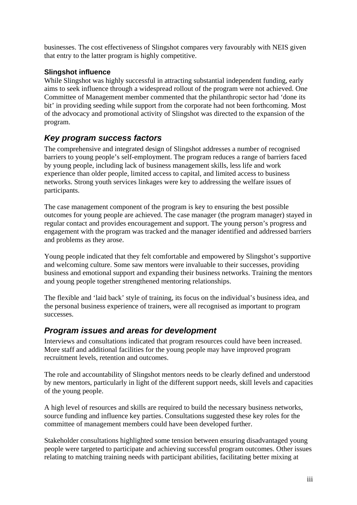businesses. The cost effectiveness of Slingshot compares very favourably with NEIS given that entry to the latter program is highly competitive.

#### **Slingshot influence**

While Slingshot was highly successful in attracting substantial independent funding, early aims to seek influence through a widespread rollout of the program were not achieved. One Committee of Management member commented that the philanthropic sector had 'done its bit' in providing seeding while support from the corporate had not been forthcoming. Most of the advocacy and promotional activity of Slingshot was directed to the expansion of the program.

## *Key program success factors*

The comprehensive and integrated design of Slingshot addresses a number of recognised barriers to young people's self-employment. The program reduces a range of barriers faced by young people, including lack of business management skills, less life and work experience than older people, limited access to capital, and limited access to business networks. Strong youth services linkages were key to addressing the welfare issues of participants.

The case management component of the program is key to ensuring the best possible outcomes for young people are achieved. The case manager (the program manager) stayed in regular contact and provides encouragement and support. The young person's progress and engagement with the program was tracked and the manager identified and addressed barriers and problems as they arose.

Young people indicated that they felt comfortable and empowered by Slingshot's supportive and welcoming culture. Some saw mentors were invaluable to their successes, providing business and emotional support and expanding their business networks. Training the mentors and young people together strengthened mentoring relationships.

The flexible and 'laid back' style of training, its focus on the individual's business idea, and the personal business experience of trainers, were all recognised as important to program successes.

## *Program issues and areas for development*

Interviews and consultations indicated that program resources could have been increased. More staff and additional facilities for the young people may have improved program recruitment levels, retention and outcomes.

The role and accountability of Slingshot mentors needs to be clearly defined and understood by new mentors, particularly in light of the different support needs, skill levels and capacities of the young people.

A high level of resources and skills are required to build the necessary business networks, source funding and influence key parties. Consultations suggested these key roles for the committee of management members could have been developed further.

Stakeholder consultations highlighted some tension between ensuring disadvantaged young people were targeted to participate and achieving successful program outcomes. Other issues relating to matching training needs with participant abilities, facilitating better mixing at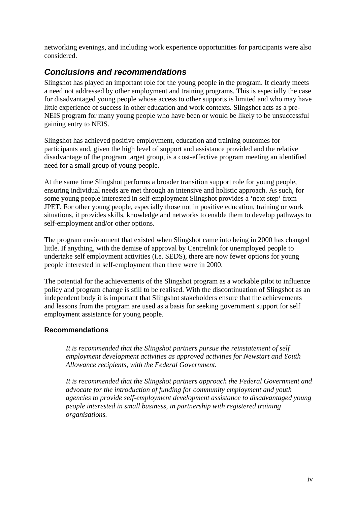networking evenings, and including work experience opportunities for participants were also considered.

### *Conclusions and recommendations*

Slingshot has played an important role for the young people in the program. It clearly meets a need not addressed by other employment and training programs. This is especially the case for disadvantaged young people whose access to other supports is limited and who may have little experience of success in other education and work contexts. Slingshot acts as a pre-NEIS program for many young people who have been or would be likely to be unsuccessful gaining entry to NEIS.

Slingshot has achieved positive employment, education and training outcomes for participants and, given the high level of support and assistance provided and the relative disadvantage of the program target group, is a cost-effective program meeting an identified need for a small group of young people.

At the same time Slingshot performs a broader transition support role for young people, ensuring individual needs are met through an intensive and holistic approach. As such, for some young people interested in self-employment Slingshot provides a 'next step' from JPET. For other young people, especially those not in positive education, training or work situations, it provides skills, knowledge and networks to enable them to develop pathways to self-employment and/or other options.

The program environment that existed when Slingshot came into being in 2000 has changed little. If anything, with the demise of approval by Centrelink for unemployed people to undertake self employment activities (i.e. SEDS), there are now fewer options for young people interested in self-employment than there were in 2000.

The potential for the achievements of the Slingshot program as a workable pilot to influence policy and program change is still to be realised. With the discontinuation of Slingshot as an independent body it is important that Slingshot stakeholders ensure that the achievements and lessons from the program are used as a basis for seeking government support for self employment assistance for young people.

#### **Recommendations**

*It is recommended that the Slingshot partners pursue the reinstatement of self employment development activities as approved activities for Newstart and Youth Allowance recipients, with the Federal Government.* 

*It is recommended that the Slingshot partners approach the Federal Government and advocate for the introduction of funding for community employment and youth agencies to provide self-employment development assistance to disadvantaged young people interested in small business, in partnership with registered training organisations.*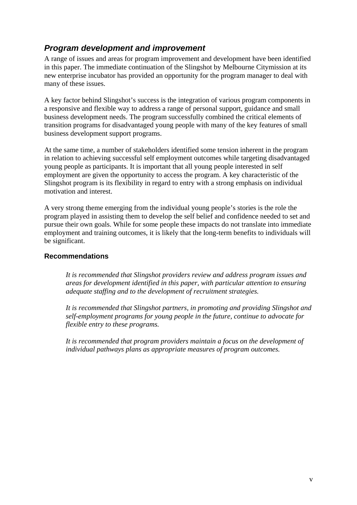## *Program development and improvement*

A range of issues and areas for program improvement and development have been identified in this paper. The immediate continuation of the Slingshot by Melbourne Citymission at its new enterprise incubator has provided an opportunity for the program manager to deal with many of these issues.

A key factor behind Slingshot's success is the integration of various program components in a responsive and flexible way to address a range of personal support, guidance and small business development needs. The program successfully combined the critical elements of transition programs for disadvantaged young people with many of the key features of small business development support programs.

At the same time, a number of stakeholders identified some tension inherent in the program in relation to achieving successful self employment outcomes while targeting disadvantaged young people as participants. It is important that all young people interested in self employment are given the opportunity to access the program. A key characteristic of the Slingshot program is its flexibility in regard to entry with a strong emphasis on individual motivation and interest.

A very strong theme emerging from the individual young people's stories is the role the program played in assisting them to develop the self belief and confidence needed to set and pursue their own goals. While for some people these impacts do not translate into immediate employment and training outcomes, it is likely that the long-term benefits to individuals will be significant.

#### **Recommendations**

*It is recommended that Slingshot providers review and address program issues and areas for development identified in this paper, with particular attention to ensuring adequate staffing and to the development of recruitment strategies.* 

*It is recommended that Slingshot partners, in promoting and providing Slingshot and self-employment programs for young people in the future, continue to advocate for flexible entry to these programs.* 

*It is recommended that program providers maintain a focus on the development of individual pathways plans as appropriate measures of program outcomes.*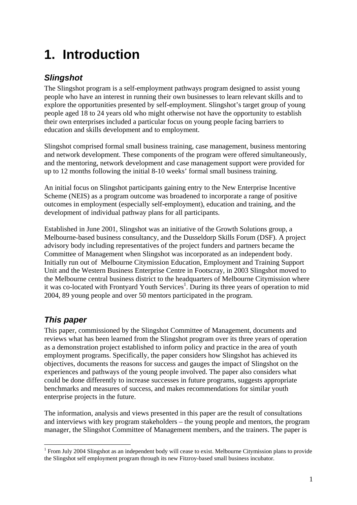# <span id="page-9-0"></span>**1. Introduction**

## *Slingshot*

The Slingshot program is a self-employment pathways program designed to assist young people who have an interest in running their own businesses to learn relevant skills and to explore the opportunities presented by self-employment. Slingshot's target group of young people aged 18 to 24 years old who might otherwise not have the opportunity to establish their own enterprises included a particular focus on young people facing barriers to education and skills development and to employment.

Slingshot comprised formal small business training, case management, business mentoring and network development. These components of the program were offered simultaneously, and the mentoring, network development and case management support were provided for up to 12 months following the initial 8-10 weeks' formal small business training.

An initial focus on Slingshot participants gaining entry to the New Enterprise Incentive Scheme (NEIS) as a program outcome was broadened to incorporate a range of positive outcomes in employment (especially self-employment), education and training, and the development of individual pathway plans for all participants.

Established in June 2001, Slingshot was an initiative of the Growth Solutions group, a Melbourne-based business consultancy, and the Dusseldorp Skills Forum (DSF). A project advisory body including representatives of the project funders and partners became the Committee of Management when Slingshot was incorporated as an independent body. Initially run out of Melbourne Citymission Education, Employment and Training Support Unit and the Western Business Enterprise Centre in Footscray, in 2003 Slingshot moved to the Melbourne central business district to the headquarters of Melbourne Citymission where it was co-located with Frontyard Youth Services<sup>1</sup>. During its three years of operation to mid 2004, 89 young people and over 50 mentors participated in the program.

# *This paper*

This paper, commissioned by the Slingshot Committee of Management, documents and reviews what has been learned from the Slingshot program over its three years of operation as a demonstration project established to inform policy and practice in the area of youth employment programs. Specifically, the paper considers how Slingshot has achieved its objectives, documents the reasons for success and gauges the impact of Slingshot on the experiences and pathways of the young people involved. The paper also considers what could be done differently to increase successes in future programs, suggests appropriate benchmarks and measures of success, and makes recommendations for similar youth enterprise projects in the future.

The information, analysis and views presented in this paper are the result of consultations and interviews with key program stakeholders – the young people and mentors, the program manager, the Slingshot Committee of Management members, and the trainers. The paper is

<span id="page-9-1"></span> $\overline{a}$ <sup>1</sup> From July 2004 Slingshot as an independent body will cease to exist. Melbourne Citymission plans to provide the Slingshot self employment program through its new Fitzroy-based small business incubator.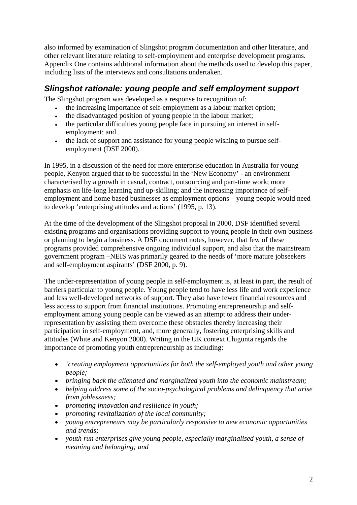<span id="page-10-0"></span>also informed by examination of Slingshot program documentation and other literature, and other relevant literature relating to self-employment and enterprise development programs. Appendix One contains additional information about the methods used to develop this paper, including lists of the interviews and consultations undertaken.

## *Slingshot rationale: young people and self employment support*

The Slingshot program was developed as a response to recognition of:

- the increasing importance of self-employment as a labour market option;
- the disadvantaged position of young people in the labour market;
- the particular difficulties young people face in pursuing an interest in selfemployment; and
- the lack of support and assistance for young people wishing to pursue selfemployment (DSF 2000).

In 1995, in a discussion of the need for more enterprise education in Australia for young people, Kenyon argued that to be successful in the 'New Economy' - an environment characterised by a growth in casual, contract, outsourcing and part-time work; more emphasis on life-long learning and up-skilling; and the increasing importance of selfemployment and home based businesses as employment options – young people would need to develop 'enterprising attitudes and actions' (1995, p. 13).

At the time of the development of the Slingshot proposal in 2000, DSF identified several existing programs and organisations providing support to young people in their own business or planning to begin a business. A DSF document notes, however, that few of these programs provided comprehensive ongoing individual support, and also that the mainstream government program –NEIS was primarily geared to the needs of 'more mature jobseekers and self-employment aspirants' (DSF 2000, p. 9).

The under-representation of young people in self-employment is, at least in part, the result of barriers particular to young people. Young people tend to have less life and work experience and less well-developed networks of support. They also have fewer financial resources and less access to support from financial institutions. Promoting entrepreneurship and selfemployment among young people can be viewed as an attempt to address their underrepresentation by assisting them overcome these obstacles thereby increasing their participation in self-employment, and, more generally, fostering enterprising skills and attitudes (White and Kenyon 2000). Writing in the UK context Chigunta regards the importance of promoting youth entrepreneurship as including:

- *'creating employment opportunities for both the self-employed youth and other young people;*
- *bringing back the alienated and marginalized youth into the economic mainstream;*
- *helping address some of the socio-psychological problems and delinquency that arise from joblessness;*
- *promoting innovation and resilience in youth;*
- *promoting revitalization of the local community;*
- *young entrepreneurs may be particularly responsive to new economic opportunities and trends;*
- *youth run enterprises give young people, especially marginalised youth, a sense of meaning and belonging; and*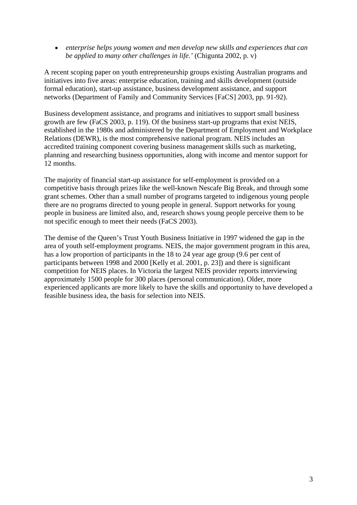• *enterprise helps young women and men develop new skills and experiences that can be applied to many other challenges in life.'* (Chigunta 2002, p. v)

A recent scoping paper on youth entrepreneurship groups existing Australian programs and initiatives into five areas: enterprise education, training and skills development (outside formal education), start-up assistance, business development assistance, and support networks (Department of Family and Community Services [FaCS] 2003, pp. 91-92).

Business development assistance, and programs and initiatives to support small business growth are few (FaCS 2003, p. 119). Of the business start-up programs that exist NEIS, established in the 1980s and administered by the Department of Employment and Workplace Relations (DEWR), is the most comprehensive national program. NEIS includes an accredited training component covering business management skills such as marketing, planning and researching business opportunities, along with income and mentor support for 12 months.

The majority of financial start-up assistance for self-employment is provided on a competitive basis through prizes like the well-known Nescafe Big Break, and through some grant schemes. Other than a small number of programs targeted to indigenous young people there are no programs directed to young people in general. Support networks for young people in business are limited also, and, research shows young people perceive them to be not specific enough to meet their needs (FaCS 2003).

The demise of the Queen's Trust Youth Business Initiative in 1997 widened the gap in the area of youth self-employment programs. NEIS, the major government program in this area, has a low proportion of participants in the 18 to 24 year age group (9.6 per cent of participants between 1998 and 2000 [Kelly et al. 2001, p. 23]) and there is significant competition for NEIS places. In Victoria the largest NEIS provider reports interviewing approximately 1500 people for 300 places (personal communication). Older, more experienced applicants are more likely to have the skills and opportunity to have developed a feasible business idea, the basis for selection into NEIS.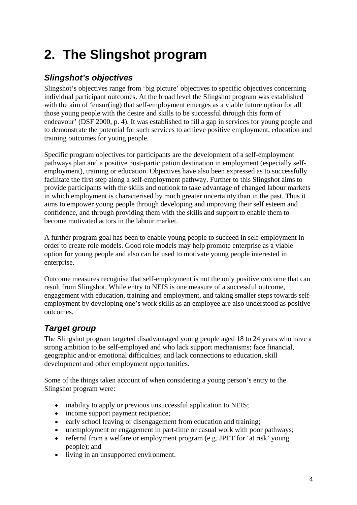# <span id="page-12-0"></span>**2. The Slingshot program**

## *Slingshot's objectives*

Slingshot's objectives range from 'big picture' objectives to specific objectives concerning individual participant outcomes. At the broad level the Slingshot program was established with the aim of 'ensur(ing) that self-employment emerges as a viable future option for all those young people with the desire and skills to be successful through this form of endeavour' (DSF 2000, p. 4). It was established to fill a gap in services for young people and to demonstrate the potential for such services to achieve positive employment, education and training outcomes for young people.

Specific program objectives for participants are the development of a self-employment pathways plan and a positive post-participation destination in employment (especially selfemployment), training or education. Objectives have also been expressed as to successfully facilitate the first step along a self-employment pathway. Further to this Slingshot aims to provide participants with the skills and outlook to take advantage of changed labour markets in which employment is characterised by much greater uncertainty than in the past. Thus it aims to empower young people through developing and improving their self esteem and confidence, and through providing them with the skills and support to enable them to become motivated actors in the labour market.

A further program goal has been to enable young people to succeed in self-employment in order to create role models. Good role models may help promote enterprise as a viable option for young people and also can be used to motivate young people interested in enterprise.

Outcome measures recognise that self-employment is not the only positive outcome that can result from Slingshot. While entry to NEIS is one measure of a successful outcome, engagement with education, training and employment, and taking smaller steps towards selfemployment by developing one's work skills as an employee are also understood as positive outcomes.

# *Target group*

The Slingshot program targeted disadvantaged young people aged 18 to 24 years who have a strong ambition to be self-employed and who lack support mechanisms; face financial, geographic and/or emotional difficulties; and lack connections to education, skill development and other employment opportunities.

Some of the things taken account of when considering a young person's entry to the Slingshot program were:

- inability to apply or previous unsuccessful application to NEIS;
- income support payment recipience;
- early school leaving or disengagement from education and training;
- unemployment or engagement in part-time or casual work with poor pathways;
- referral from a welfare or employment program (e.g. JPET for 'at risk' young people); and
- living in an unsupported environment.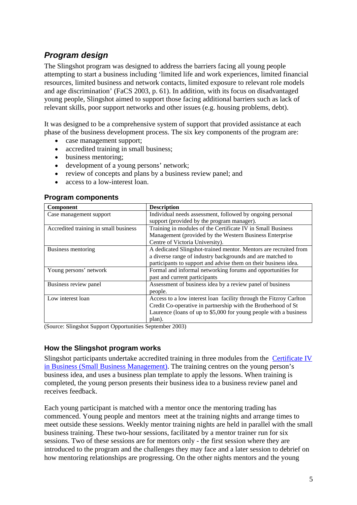## <span id="page-13-0"></span>*Program design*

The Slingshot program was designed to address the barriers facing all young people attempting to start a business including 'limited life and work experiences, limited financial resources, limited business and network contacts, limited exposure to relevant role models and age discrimination' (FaCS 2003, p. 61). In addition, with its focus on disadvantaged young people, Slingshot aimed to support those facing additional barriers such as lack of relevant skills, poor support networks and other issues (e.g. housing problems, debt).

It was designed to be a comprehensive system of support that provided assistance at each phase of the business development process. The six key components of the program are:

- case management support;
- accredited training in small business;
- business mentoring;
- development of a young persons' network;
- review of concepts and plans by a business review panel; and
- access to a low-interest loan.

| <b>Component</b>                      | <b>Description</b>                                                 |
|---------------------------------------|--------------------------------------------------------------------|
| Case management support               | Individual needs assessment, followed by ongoing personal          |
|                                       | support (provided by the program manager).                         |
| Accredited training in small business | Training in modules of the Certificate IV in Small Business        |
|                                       | Management (provided by the Western Business Enterprise)           |
|                                       | Centre of Victoria University).                                    |
| Business mentoring                    | A dedicated Slingshot-trained mentor. Mentors are recruited from   |
|                                       | a diverse range of industry backgrounds and are matched to         |
|                                       | participants to support and advise them on their business idea.    |
| Young persons' network                | Formal and informal networking forums and opportunities for        |
|                                       | past and current participants                                      |
| Business review panel                 | Assessment of business idea by a review panel of business          |
|                                       | people.                                                            |
| Low interest loan                     | Access to a low interest loan facility through the Fitzroy Carlton |
|                                       | Credit Co-operative in partnership with the Brotherhood of St      |
|                                       | Laurence (loans of up to \$5,000 for young people with a business  |
|                                       | plan).                                                             |

#### **Program components**

(Source: Slingshot Support Opportunities September 2003)

#### **How the Slingshot program works**

Slingshot participants undertake accredited training in three modules from the [Certificate IV](http://www.ntis.gov.au/cgi-bin/waxhtml/~ntis2/qual.wxh?page=80&inputRef=1331)  [in Business \(Small Business Management\)](http://www.ntis.gov.au/cgi-bin/waxhtml/~ntis2/qual.wxh?page=80&inputRef=1331). The training centres on the young person's business idea, and uses a business plan template to apply the lessons. When training is completed, the young person presents their business idea to a business review panel and receives feedback.

Each young participant is matched with a mentor once the mentoring trading has commenced. Young people and mentors meet at the training nights and arrange times to meet outside these sessions. Weekly mentor training nights are held in parallel with the small business training. These two-hour sessions, facilitated by a mentor trainer run for six sessions. Two of these sessions are for mentors only - the first session where they are introduced to the program and the challenges they may face and a later session to debrief on how mentoring relationships are progressing. On the other nights mentors and the young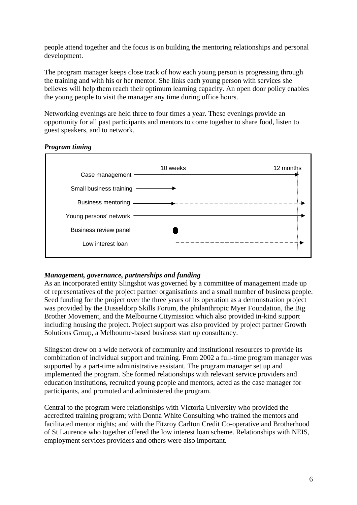people attend together and the focus is on building the mentoring relationships and personal development.

The program manager keeps close track of how each young person is progressing through the training and with his or her mentor. She links each young person with services she believes will help them reach their optimum learning capacity. An open door policy enables the young people to visit the manager any time during office hours.

Networking evenings are held three to four times a year. These evenings provide an opportunity for all past participants and mentors to come together to share food, listen to guest speakers, and to network.

#### *Program timing*



#### *Management, governance, partnerships and funding*

As an incorporated entity Slingshot was governed by a committee of management made up of representatives of the project partner organisations and a small number of business people. Seed funding for the project over the three years of its operation as a demonstration project was provided by the Dusseldorp Skills Forum, the philanthropic Myer Foundation, the Big Brother Movement, and the Melbourne Citymission which also provided in-kind support including housing the project. Project support was also provided by project partner Growth Solutions Group, a Melbourne-based business start up consultancy.

Slingshot drew on a wide network of community and institutional resources to provide its combination of individual support and training. From 2002 a full-time program manager was supported by a part-time administrative assistant. The program manager set up and implemented the program. She formed relationships with relevant service providers and education institutions, recruited young people and mentors, acted as the case manager for participants, and promoted and administered the program.

Central to the program were relationships with Victoria University who provided the accredited training program; with Donna White Consulting who trained the mentors and facilitated mentor nights; and with the Fitzroy Carlton Credit Co-operative and Brotherhood of St Laurence who together offered the low interest loan scheme. Relationships with NEIS, employment services providers and others were also important.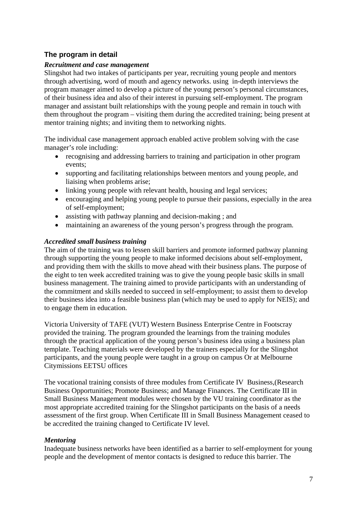#### <span id="page-15-0"></span>**The program in detail**

#### *Recruitment and case management*

Slingshot had two intakes of participants per year, recruiting young people and mentors through advertising, word of mouth and agency networks. using in-depth interviews the program manager aimed to develop a picture of the young person's personal circumstances, of their business idea and also of their interest in pursuing self-employment. The program manager and assistant built relationships with the young people and remain in touch with them throughout the program – visiting them during the accredited training; being present at mentor training nights; and inviting them to networking nights.

The individual case management approach enabled active problem solving with the case manager's role including:

- recognising and addressing barriers to training and participation in other program events;
- supporting and facilitating relationships between mentors and young people, and liaising when problems arise;
- linking young people with relevant health, housing and legal services;
- encouraging and helping young people to pursue their passions, especially in the area of self-employment;
- assisting with pathway planning and decision-making ; and
- maintaining an awareness of the young person's progress through the program.

#### *Accredited small business training*

The aim of the training was to lessen skill barriers and promote informed pathway planning through supporting the young people to make informed decisions about self-employment, and providing them with the skills to move ahead with their business plans. The purpose of the eight to ten week accredited training was to give the young people basic skills in small business management. The training aimed to provide participants with an understanding of the commitment and skills needed to succeed in self-employment; to assist them to develop their business idea into a feasible business plan (which may be used to apply for NEIS); and to engage them in education.

Victoria University of TAFE (VUT) Western Business Enterprise Centre in Footscray provided the training. The program grounded the learnings from the training modules through the practical application of the young person's business idea using a business plan template. Teaching materials were developed by the trainers especially for the Slingshot participants, and the young people were taught in a group on campus Or at Melbourne Citymissions EETSU offices

The vocational training consists of three modules from Certificate IV Business,(Research Business Opportunities; Promote Business; and Manage Finances. The Certificate III in Small Business Management modules were chosen by the VU training coordinator as the most appropriate accredited training for the Slingshot participants on the basis of a needs assessment of the first group. When Certificate III in Small Business Management ceased to be accredited the training changed to Certificate IV level.

#### *Mentoring*

Inadequate business networks have been identified as a barrier to self-employment for young people and the development of mentor contacts is designed to reduce this barrier. The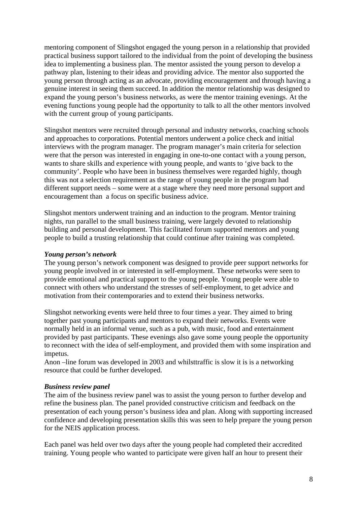mentoring component of Slingshot engaged the young person in a relationship that provided practical business support tailored to the individual from the point of developing the business idea to implementing a business plan. The mentor assisted the young person to develop a pathway plan, listening to their ideas and providing advice. The mentor also supported the young person through acting as an advocate, providing encouragement and through having a genuine interest in seeing them succeed. In addition the mentor relationship was designed to expand the young person's business networks, as were the mentor training evenings. At the evening functions young people had the opportunity to talk to all the other mentors involved with the current group of young participants.

Slingshot mentors were recruited through personal and industry networks, coaching schools and approaches to corporations. Potential mentors underwent a police check and initial interviews with the program manager. The program manager's main criteria for selection were that the person was interested in engaging in one-to-one contact with a young person, wants to share skills and experience with young people, and wants to 'give back to the community'. People who have been in business themselves were regarded highly, though this was not a selection requirement as the range of young people in the program had different support needs – some were at a stage where they need more personal support and encouragement than a focus on specific business advice.

Slingshot mentors underwent training and an induction to the program. Mentor training nights, run parallel to the small business training, were largely devoted to relationship building and personal development. This facilitated forum supported mentors and young people to build a trusting relationship that could continue after training was completed.

#### *Young person's network*

The young person's network component was designed to provide peer support networks for young people involved in or interested in self-employment. These networks were seen to provide emotional and practical support to the young people. Young people were able to connect with others who understand the stresses of self-employment, to get advice and motivation from their contemporaries and to extend their business networks.

Slingshot networking events were held three to four times a year. They aimed to bring together past young participants and mentors to expand their networks. Events were normally held in an informal venue, such as a pub, with music, food and entertainment provided by past participants. These evenings also gave some young people the opportunity to reconnect with the idea of self-employment, and provided them with some inspiration and impetus.

Anon –line forum was developed in 2003 and whilsttraffic is slow it is is a networking resource that could be further developed.

#### *Business review panel*

The aim of the business review panel was to assist the young person to further develop and refine the business plan. The panel provided constructive criticism and feedback on the presentation of each young person's business idea and plan. Along with supporting increased confidence and developing presentation skills this was seen to help prepare the young person for the NEIS application process.

Each panel was held over two days after the young people had completed their accredited training. Young people who wanted to participate were given half an hour to present their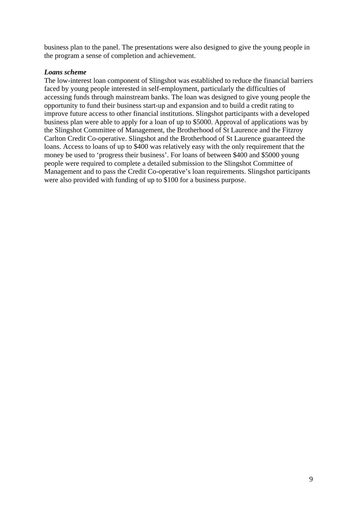business plan to the panel. The presentations were also designed to give the young people in the program a sense of completion and achievement.

#### *Loans scheme*

The low-interest loan component of Slingshot was established to reduce the financial barriers faced by young people interested in self-employment, particularly the difficulties of accessing funds through mainstream banks. The loan was designed to give young people the opportunity to fund their business start-up and expansion and to build a credit rating to improve future access to other financial institutions. Slingshot participants with a developed business plan were able to apply for a loan of up to \$5000. Approval of applications was by the Slingshot Committee of Management, the Brotherhood of St Laurence and the Fitzroy Carlton Credit Co-operative. Slingshot and the Brotherhood of St Laurence guaranteed the loans. Access to loans of up to \$400 was relatively easy with the only requirement that the money be used to 'progress their business'. For loans of between \$400 and \$5000 young people were required to complete a detailed submission to the Slingshot Committee of Management and to pass the Credit Co-operative's loan requirements. Slingshot participants were also provided with funding of up to \$100 for a business purpose.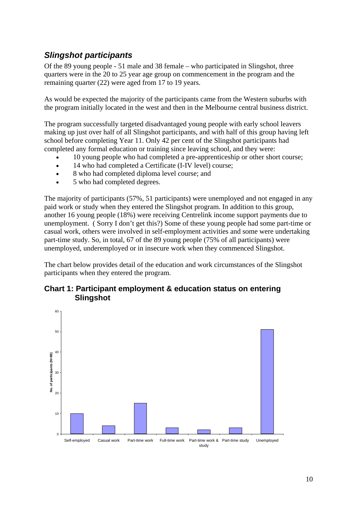## <span id="page-18-0"></span>*Slingshot participants*

Of the 89 young people - 51 male and 38 female – who participated in Slingshot, three quarters were in the 20 to 25 year age group on commencement in the program and the remaining quarter (22) were aged from 17 to 19 years.

As would be expected the majority of the participants came from the Western suburbs with the program initially located in the west and then in the Melbourne central business district.

The program successfully targeted disadvantaged young people with early school leavers making up just over half of all Slingshot participants, and with half of this group having left school before completing Year 11. Only 42 per cent of the Slingshot participants had completed any formal education or training since leaving school, and they were:

- 10 young people who had completed a pre-apprenticeship or other short course;
- 14 who had completed a Certificate (I-IV level) course;
- 8 who had completed diploma level course; and
- 5 who had completed degrees.

The majority of participants (57%, 51 participants) were unemployed and not engaged in any paid work or study when they entered the Slingshot program. In addition to this group, another 16 young people (18%) were receiving Centrelink income support payments due to unemployment. ( Sorry I don't get this?) Some of these young people had some part-time or casual work, others were involved in self-employment activities and some were undertaking part-time study. So, in total, 67 of the 89 young people (75% of all participants) were unemployed, underemployed or in insecure work when they commenced Slingshot.

The chart below provides detail of the education and work circumstances of the Slingshot participants when they entered the program.

#### **Chart 1: Participant employment & education status on entering Slingshot**

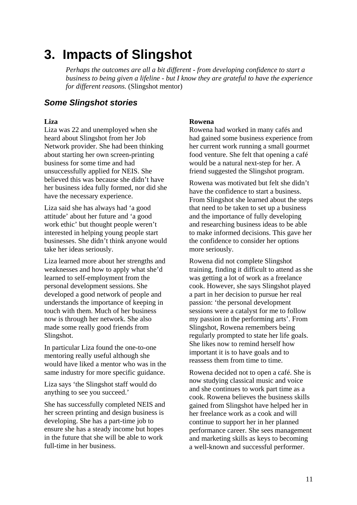# <span id="page-19-0"></span>**3. Impacts of Slingshot**

*Perhaps the outcomes are all a bit different - from developing confidence to start a business to being given a lifeline - but I know they are grateful to have the experience for different reasons.* (Slingshot mentor)

## *Some Slingshot stories*

#### **Liza**

Liza was 22 and unemployed when she heard about Slingshot from her Job Network provider. She had been thinking about starting her own screen-printing business for some time and had unsuccessfully applied for NEIS. She believed this was because she didn't have her business idea fully formed, nor did she have the necessary experience.

Liza said she has always had 'a good attitude' about her future and 'a good work ethic' but thought people weren't interested in helping young people start businesses. She didn't think anyone would take her ideas seriously.

Liza learned more about her strengths and weaknesses and how to apply what she'd learned to self-employment from the personal development sessions. She developed a good network of people and understands the importance of keeping in touch with them. Much of her business now is through her network. She also made some really good friends from Slingshot.

In particular Liza found the one-to-one mentoring really useful although she would have liked a mentor who was in the same industry for more specific guidance.

Liza says 'the Slingshot staff would do anything to see you succeed.'

She has successfully completed NEIS and her screen printing and design business is developing. She has a part-time job to ensure she has a steady income but hopes in the future that she will be able to work full-time in her business.

#### **Rowena**

Rowena had worked in many cafés and had gained some business experience from her current work running a small gourmet food venture. She felt that opening a café would be a natural next-step for her. A friend suggested the Slingshot program.

Rowena was motivated but felt she didn't have the confidence to start a business. From Slingshot she learned about the steps that need to be taken to set up a business and the importance of fully developing and researching business ideas to be able to make informed decisions. This gave her the confidence to consider her options more seriously.

Rowena did not complete Slingshot training, finding it difficult to attend as she was getting a lot of work as a freelance cook. However, she says Slingshot played a part in her decision to pursue her real passion: 'the personal development sessions were a catalyst for me to follow my passion in the performing arts'. From Slingshot, Rowena remembers being regularly prompted to state her life goals. She likes now to remind herself how important it is to have goals and to reassess them from time to time.

Rowena decided not to open a café. She is now studying classical music and voice and she continues to work part time as a cook. Rowena believes the business skills gained from Slingshot have helped her in her freelance work as a cook and will continue to support her in her planned performance career. She sees management and marketing skills as keys to becoming a well-known and successful performer.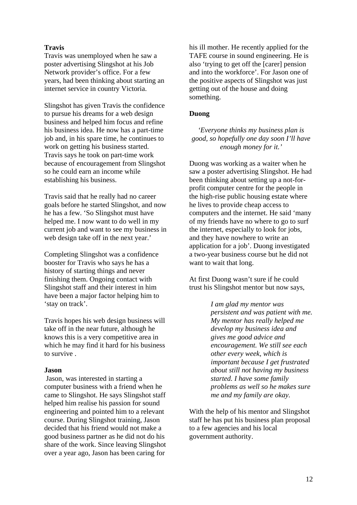#### **Travis**

Travis was unemployed when he saw a poster advertising Slingshot at his Job Network provider's office. For a few years, had been thinking about starting an internet service in country Victoria.

Slingshot has given Travis the confidence to pursue his dreams for a web design business and helped him focus and refine his business idea. He now has a part-time job and, in his spare time, he continues to work on getting his business started. Travis says he took on part-time work because of encouragement from Slingshot so he could earn an income while establishing his business.

Travis said that he really had no career goals before he started Slingshot, and now he has a few. 'So Slingshot must have helped me. I now want to do well in my current job and want to see my business in web design take off in the next year.'

Completing Slingshot was a confidence booster for Travis who says he has a history of starting things and never finishing them. Ongoing contact with Slingshot staff and their interest in him have been a major factor helping him to 'stay on track'.

Travis hopes his web design business will take off in the near future, although he knows this is a very competitive area in which he may find it hard for his business to survive .

#### **Jason**

 Jason, was interested in starting a computer business with a friend when he came to Slingshot. He says Slingshot staff helped him realise his passion for sound engineering and pointed him to a relevant course. During Slingshot training, Jason decided that his friend would not make a good business partner as he did not do his share of the work. Since leaving Slingshot over a year ago, Jason has been caring for

his ill mother. He recently applied for the TAFE course in sound engineering. He is also 'trying to get off the [carer] pension and into the workforce'. For Jason one of the positive aspects of Slingshot was just getting out of the house and doing something.

#### **Duong**

*'Everyone thinks my business plan is good, so hopefully one day soon I'll have enough money for it.'* 

Duong was working as a waiter when he saw a poster advertising Slingshot. He had been thinking about setting up a not-forprofit computer centre for the people in the high-rise public housing estate where he lives to provide cheap access to computers and the internet. He said 'many of my friends have no where to go to surf the internet, especially to look for jobs, and they have nowhere to write an application for a job'. Duong investigated a two-year business course but he did not want to wait that long.

At first Duong wasn't sure if he could trust his Slingshot mentor but now says,

> *I am glad my mentor was persistent and was patient with me. My mentor has really helped me develop my business idea and gives me good advice and encouragement. We still see each other every week, which is important because I get frustrated about still not having my business started. I have some family problems as well so he makes sure me and my family are okay.*

With the help of his mentor and Slingshot staff he has put his business plan proposal to a few agencies and his local government authority.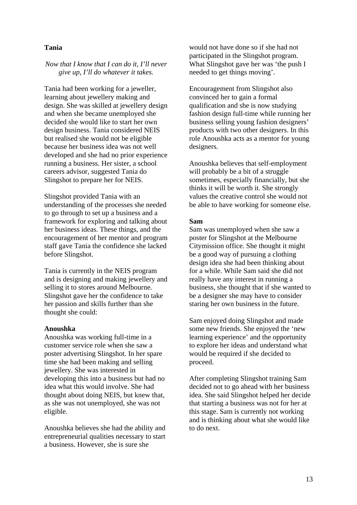#### **Tania**

#### *Now that I know that I can do it, I'll never give up, I'll do whatever it takes.*

Tania had been working for a jeweller, learning about jewellery making and design. She was skilled at jewellery design and when she became unemployed she decided she would like to start her own design business. Tania considered NEIS but realised she would not be eligible because her business idea was not well developed and she had no prior experience running a business. Her sister, a school careers advisor, suggested Tania do Slingshot to prepare her for NEIS.

Slingshot provided Tania with an understanding of the processes she needed to go through to set up a business and a framework for exploring and talking about her business ideas. These things, and the encouragement of her mentor and program staff gave Tania the confidence she lacked before Slingshot.

Tania is currently in the NEIS program and is designing and making jewellery and selling it to stores around Melbourne. Slingshot gave her the confidence to take her passion and skills further than she thought she could:

#### **Anoushka**

Anoushka was working full-time in a customer service role when she saw a poster advertising Slingshot. In her spare time she had been making and selling jewellery. She was interested in developing this into a business but had no idea what this would involve. She had thought about doing NEIS, but knew that, as she was not unemployed, she was not eligible.

Anoushka believes she had the ability and entrepreneurial qualities necessary to start a business. However, she is sure she

would not have done so if she had not participated in the Slingshot program. What Slingshot gave her was 'the push I needed to get things moving'.

Encouragement from Slingshot also convinced her to gain a formal qualification and she is now studying fashion design full-time while running her business selling young fashion designers' products with two other designers. In this role Anoushka acts as a mentor for young designers.

Anoushka believes that self-employment will probably be a bit of a struggle sometimes, especially financially, but she thinks it will be worth it. She strongly values the creative control she would not be able to have working for someone else.

#### **Sam**

Sam was unemployed when she saw a poster for Slingshot at the Melbourne Citymission office. She thought it might be a good way of pursuing a clothing design idea she had been thinking about for a while. While Sam said she did not really have any interest in running a business, she thought that if she wanted to be a designer she may have to consider staring her own business in the future.

Sam enjoyed doing Slingshot and made some new friends. She enjoyed the 'new learning experience' and the opportunity to explore her ideas and understand what would be required if she decided to proceed.

After completing Slingshot training Sam decided not to go ahead with her business idea. She said Slingshot helped her decide that starting a business was not for her at this stage. Sam is currently not working and is thinking about what she would like to do next.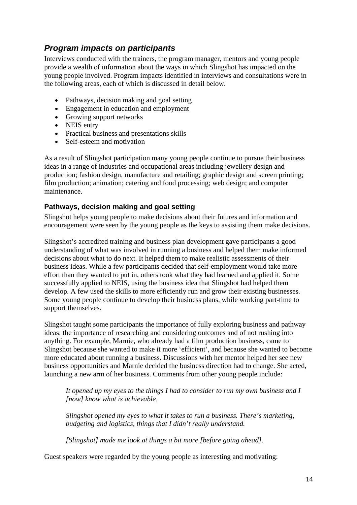## <span id="page-22-0"></span>*Program impacts on participants*

Interviews conducted with the trainers, the program manager, mentors and young people provide a wealth of information about the ways in which Slingshot has impacted on the young people involved. Program impacts identified in interviews and consultations were in the following areas, each of which is discussed in detail below.

- Pathways, decision making and goal setting
- Engagement in education and employment
- Growing support networks
- NEIS entry
- Practical business and presentations skills
- Self-esteem and motivation

As a result of Slingshot participation many young people continue to pursue their business ideas in a range of industries and occupational areas including jewellery design and production; fashion design, manufacture and retailing; graphic design and screen printing; film production; animation; catering and food processing; web design; and computer maintenance.

### **Pathways, decision making and goal setting**

Slingshot helps young people to make decisions about their futures and information and encouragement were seen by the young people as the keys to assisting them make decisions.

Slingshot's accredited training and business plan development gave participants a good understanding of what was involved in running a business and helped them make informed decisions about what to do next. It helped them to make realistic assessments of their business ideas. While a few participants decided that self-employment would take more effort than they wanted to put in, others took what they had learned and applied it. Some successfully applied to NEIS, using the business idea that Slingshot had helped them develop. A few used the skills to more efficiently run and grow their existing businesses. Some young people continue to develop their business plans, while working part-time to support themselves.

Slingshot taught some participants the importance of fully exploring business and pathway ideas; the importance of researching and considering outcomes and of not rushing into anything. For example, Marnie, who already had a film production business, came to Slingshot because she wanted to make it more 'efficient', and because she wanted to become more educated about running a business. Discussions with her mentor helped her see new business opportunities and Marnie decided the business direction had to change. She acted, launching a new arm of her business. Comments from other young people include:

*It opened up my eyes to the things I had to consider to run my own business and I [now] know what is achievable*.

*Slingshot opened my eyes to what it takes to run a business. There's marketing, budgeting and logistics, things that I didn't really understand.* 

*[Slingshot] made me look at things a bit more [before going ahead].*

Guest speakers were regarded by the young people as interesting and motivating: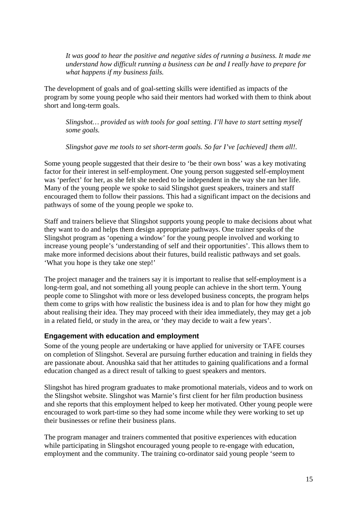<span id="page-23-0"></span>*It was good to hear the positive and negative sides of running a business. It made me understand how difficult running a business can be and I really have to prepare for what happens if my business fails.* 

The development of goals and of goal-setting skills were identified as impacts of the program by some young people who said their mentors had worked with them to think about short and long-term goals.

*Slingshot… provided us with tools for goal setting. I'll have to start setting myself some goals.* 

*Slingshot gave me tools to set short-term goals. So far I've [achieved] them all!.* 

Some young people suggested that their desire to 'be their own boss' was a key motivating factor for their interest in self-employment. One young person suggested self-employment was 'perfect' for her, as she felt she needed to be independent in the way she ran her life. Many of the young people we spoke to said Slingshot guest speakers, trainers and staff encouraged them to follow their passions. This had a significant impact on the decisions and pathways of some of the young people we spoke to.

Staff and trainers believe that Slingshot supports young people to make decisions about what they want to do and helps them design appropriate pathways. One trainer speaks of the Slingshot program as 'opening a window' for the young people involved and working to increase young people's 'understanding of self and their opportunities'. This allows them to make more informed decisions about their futures, build realistic pathways and set goals. 'What you hope is they take one step!'

The project manager and the trainers say it is important to realise that self-employment is a long-term goal, and not something all young people can achieve in the short term. Young people come to Slingshot with more or less developed business concepts, the program helps them come to grips with how realistic the business idea is and to plan for how they might go about realising their idea. They may proceed with their idea immediately, they may get a job in a related field, or study in the area, or 'they may decide to wait a few years'*.* 

#### **Engagement with education and employment**

Some of the young people are undertaking or have applied for university or TAFE courses on completion of Slingshot. Several are pursuing further education and training in fields they are passionate about. Anoushka said that her attitudes to gaining qualifications and a formal education changed as a direct result of talking to guest speakers and mentors.

Slingshot has hired program graduates to make promotional materials, videos and to work on the Slingshot website. Slingshot was Marnie's first client for her film production business and she reports that this employment helped to keep her motivated. Other young people were encouraged to work part-time so they had some income while they were working to set up their businesses or refine their business plans.

The program manager and trainers commented that positive experiences with education while participating in Slingshot encouraged young people to re-engage with education, employment and the community. The training co-ordinator said young people 'seem to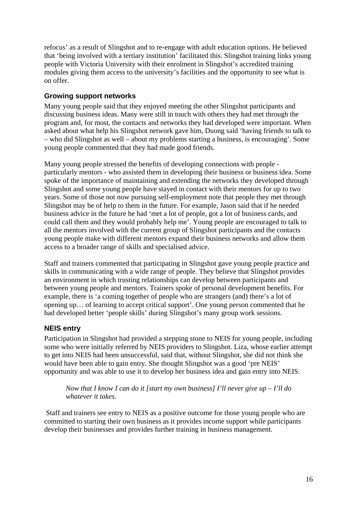<span id="page-24-0"></span>refocus' as a result of Slingshot and to re-engage with adult education options. He believed that 'being involved with a tertiary institution' facilitated this. Slingshot training links young people with Victoria University with their enrolment in Slingshot's accredited training modules giving them access to the university's facilities and the opportunity to see what is on offer.

#### **Growing support networks**

Many young people said that they enjoyed meeting the other Slingshot participants and discussing business ideas. Many were still in touch with others they had met through the program and, for most, the contacts and networks they had developed were important. When asked about what help his Slingshot network gave him, Duong said 'having friends to talk to – who did Slingshot as well – about my problems starting a business, is encouraging'. Some young people commented that they had made good friends.

Many young people stressed the benefits of developing connections with people particularly mentors - who assisted them in developing their business or business idea. Some spoke of the importance of maintaining and extending the networks they developed through Slingshot and some young people have stayed in contact with their mentors for up to two years. Some of those not now pursuing self-employment note that people they met through Slingshot may be of help to them in the future. For example, Jason said that if he needed business advice in the future he had 'met a lot of people, got a lot of business cards, and could call them and they would probably help me'. Young people are encouraged to talk to all the mentors involved with the current group of Slingshot participants and the contacts young people make with different mentors expand their business networks and allow them access to a broader range of skills and specialised advice.

Staff and trainers commented that participating in Slingshot gave young people practice and skills in communicating with a wide range of people. They believe that Slingshot provides an environment in which trusting relationships can develop between participants and between young people and mentors. Trainers spoke of personal development benefits. For example, there is 'a coming together of people who are strangers (and) there's a lot of opening up… of learning to accept critical support'. One young person commented that he had developed better 'people skills' during Slingshot's many group work sessions.

#### **NEIS entry**

Participation in Slingshot had provided a stepping stone to NEIS for young people, including some who were initially referred by NEIS providers to Slingshot. Liza, whose earlier attempt to get into NEIS had been unsuccessful, said that, without Slingshot, she did not think she would have been able to gain entry. She thought Slingshot was a good 'pre NEIS' opportunity and was able to use it to develop her business idea and gain entry into NEIS.

*Now that I know I can do it [start my own business] I'll never give up – I'll do whatever it takes.* 

 Staff and trainers see entry to NEIS as a positive outcome for those young people who are committed to starting their own business as it provides income support while participants develop their businesses and provides further training in business management.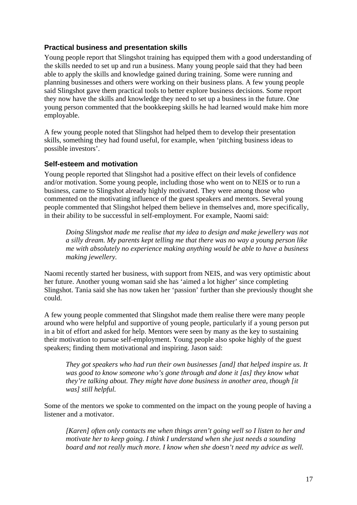#### <span id="page-25-0"></span>**Practical business and presentation skills**

Young people report that Slingshot training has equipped them with a good understanding of the skills needed to set up and run a business. Many young people said that they had been able to apply the skills and knowledge gained during training. Some were running and planning businesses and others were working on their business plans. A few young people said Slingshot gave them practical tools to better explore business decisions. Some report they now have the skills and knowledge they need to set up a business in the future. One young person commented that the bookkeeping skills he had learned would make him more employable.

A few young people noted that Slingshot had helped them to develop their presentation skills, something they had found useful, for example, when 'pitching business ideas to possible investors'.

#### **Self-esteem and motivation**

Young people reported that Slingshot had a positive effect on their levels of confidence and/or motivation. Some young people, including those who went on to NEIS or to run a business, came to Slingshot already highly motivated. They were among those who commented on the motivating influence of the guest speakers and mentors. Several young people commented that Slingshot helped them believe in themselves and, more specifically, in their ability to be successful in self-employment. For example, Naomi said:

*Doing Slingshot made me realise that my idea to design and make jewellery was not a silly dream. My parents kept telling me that there was no way a young person like me with absolutely no experience making anything would be able to have a business making jewellery.* 

Naomi recently started her business, with support from NEIS, and was very optimistic about her future. Another young woman said she has 'aimed a lot higher' since completing Slingshot. Tania said she has now taken her 'passion' further than she previously thought she could.

A few young people commented that Slingshot made them realise there were many people around who were helpful and supportive of young people, particularly if a young person put in a bit of effort and asked for help. Mentors were seen by many as the key to sustaining their motivation to pursue self-employment. Young people also spoke highly of the guest speakers; finding them motivational and inspiring. Jason said:

*They got speakers who had run their own businesses [and] that helped inspire us. It was good to know someone who's gone through and done it [as] they know what they're talking about. They might have done business in another area, though [it was] still helpful.* 

Some of the mentors we spoke to commented on the impact on the young people of having a listener and a motivator.

*[Karen] often only contacts me when things aren't going well so I listen to her and motivate her to keep going. I think I understand when she just needs a sounding board and not really much more. I know when she doesn't need my advice as well.*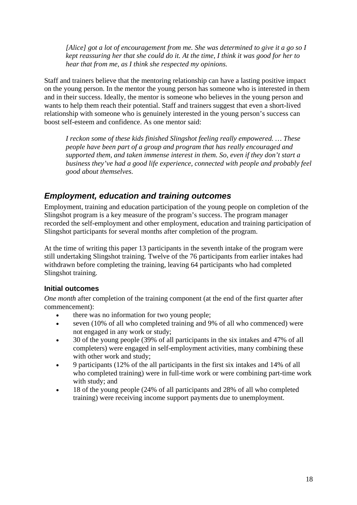<span id="page-26-0"></span>*[Alice] got a lot of encouragement from me. She was determined to give it a go so I kept reassuring her that she could do it. At the time, I think it was good for her to hear that from me, as I think she respected my opinions.* 

Staff and trainers believe that the mentoring relationship can have a lasting positive impact on the young person. In the mentor the young person has someone who is interested in them and in their success. Ideally, the mentor is someone who believes in the young person and wants to help them reach their potential. Staff and trainers suggest that even a short-lived relationship with someone who is genuinely interested in the young person's success can boost self-esteem and confidence. As one mentor said:

*I reckon some of these kids finished Slingshot feeling really empowered. … These people have been part of a group and program that has really encouraged and supported them, and taken immense interest in them. So, even if they don't start a business they've had a good life experience, connected with people and probably feel good about themselves.* 

## *Employment, education and training outcomes*

Employment, training and education participation of the young people on completion of the Slingshot program is a key measure of the program's success. The program manager recorded the self-employment and other employment, education and training participation of Slingshot participants for several months after completion of the program.

At the time of writing this paper 13 participants in the seventh intake of the program were still undertaking Slingshot training. Twelve of the 76 participants from earlier intakes had withdrawn before completing the training, leaving 64 participants who had completed Slingshot training.

#### **Initial outcomes**

*One month* after completion of the training component (at the end of the first quarter after commencement):

- there was no information for two young people;
- seven (10% of all who completed training and 9% of all who commenced) were not engaged in any work or study;
- 30 of the young people (39% of all participants in the six intakes and 47% of all completers) were engaged in self-employment activities, many combining these with other work and study;
- 9 participants (12% of the all participants in the first six intakes and 14% of all who completed training) were in full-time work or were combining part-time work with study; and
- 18 of the young people (24% of all participants and 28% of all who completed training) were receiving income support payments due to unemployment.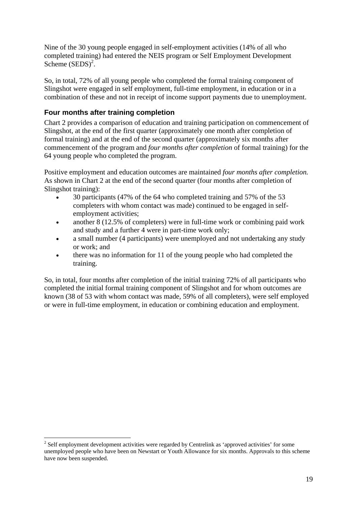<span id="page-27-0"></span>Nine of the 30 young people engaged in self-employment activities (14% of all who completed training) had entered the NEIS program or Self Employment Development Scheme  $(SEDS)^2$  $(SEDS)^2$ .

So, in total, 72% of all young people who completed the formal training component of Slingshot were engaged in self employment, full-time employment, in education or in a combination of these and not in receipt of income support payments due to unemployment.

#### **Four months after training completion**

 $\overline{a}$ 

Chart 2 provides a comparison of education and training participation on commencement of Slingshot, at the end of the first quarter (approximately one month after completion of formal training) and at the end of the second quarter (approximately six months after commencement of the program and *four months after completion* of formal training) for the 64 young people who completed the program.

Positive employment and education outcomes are maintained *four months after completion.* As shown in Chart 2 at the end of the second quarter (four months after completion of Slingshot training):

- 30 participants (47% of the 64 who completed training and 57% of the 53 completers with whom contact was made) continued to be engaged in selfemployment activities;
- another 8 (12.5% of completers) were in full-time work or combining paid work and study and a further 4 were in part-time work only;
- a small number (4 participants) were unemployed and not undertaking any study or work; and
- there was no information for 11 of the young people who had completed the training.

So, in total, four months after completion of the initial training 72% of all participants who completed the initial formal training component of Slingshot and for whom outcomes are known (38 of 53 with whom contact was made, 59% of all completers), were self employed or were in full-time employment, in education or combining education and employment.

<span id="page-27-1"></span> $2^{2}$  Self employment development activities were regarded by Centrelink as 'approved activities' for some unemployed people who have been on Newstart or Youth Allowance for six months. Approvals to this scheme have now been suspended.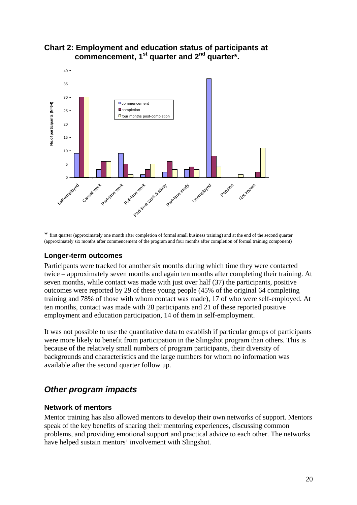

#### <span id="page-28-0"></span>**Chart 2: Employment and education status of participants at commencement, 1st quarter and 2nd quarter\*.**

\* first quarter (approximately one month after completion of formal small business training) and at the end of the second quarter (approximately six months after commencement of the program and four months after completion of formal training component)

#### **Longer-term outcomes**

Participants were tracked for another six months during which time they were contacted twice – approximately seven months and again ten months after completing their training. At seven months, while contact was made with just over half (37) the participants, positive outcomes were reported by 29 of these young people (45% of the original 64 completing training and 78% of those with whom contact was made), 17 of who were self-employed. At ten months, contact was made with 28 participants and 21 of these reported positive employment and education participation, 14 of them in self-employment.

It was not possible to use the quantitative data to establish if particular groups of participants were more likely to benefit from participation in the Slingshot program than others. This is because of the relatively small numbers of program participants, their diversity of backgrounds and characteristics and the large numbers for whom no information was available after the second quarter follow up.

## *Other program impacts*

#### **Network of mentors**

Mentor training has also allowed mentors to develop their own networks of support. Mentors speak of the key benefits of sharing their mentoring experiences, discussing common problems, and providing emotional support and practical advice to each other. The networks have helped sustain mentors' involvement with Slingshot.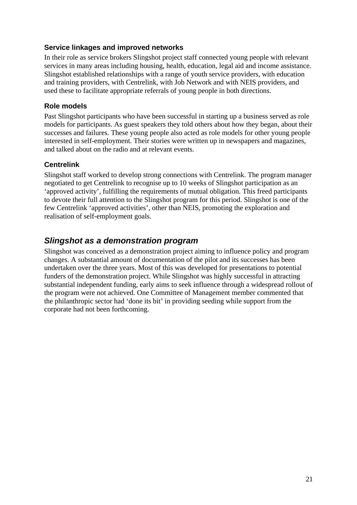#### <span id="page-29-0"></span>**Service linkages and improved networks**

In their role as service brokers Slingshot project staff connected young people with relevant services in many areas including housing, health, education, legal aid and income assistance. Slingshot established relationships with a range of youth service providers, with education and training providers, with Centrelink, with Job Network and with NEIS providers, and used these to facilitate appropriate referrals of young people in both directions.

#### **Role models**

Past Slingshot participants who have been successful in starting up a business served as role models for participants. As guest speakers they told others about how they began, about their successes and failures. These young people also acted as role models for other young people interested in self-employment. Their stories were written up in newspapers and magazines, and talked about on the radio and at relevant events.

#### **Centrelink**

Slingshot staff worked to develop strong connections with Centrelink. The program manager negotiated to get Centrelink to recognise up to 10 weeks of Slingshot participation as an 'approved activity', fulfilling the requirements of mutual obligation. This freed participants to devote their full attention to the Slingshot program for this period. Slingshot is one of the few Centrelink 'approved activities', other than NEIS, promoting the exploration and realisation of self-employment goals.

### *Slingshot as a demonstration program*

Slingshot was conceived as a demonstration project aiming to influence policy and program changes. A substantial amount of documentation of the pilot and its successes has been undertaken over the three years. Most of this was developed for presentations to potential funders of the demonstration project. While Slingshot was highly successful in attracting substantial independent funding, early aims to seek influence through a widespread rollout of the program were not achieved. One Committee of Management member commented that the philanthropic sector had 'done its bit' in providing seeding while support from the corporate had not been forthcoming.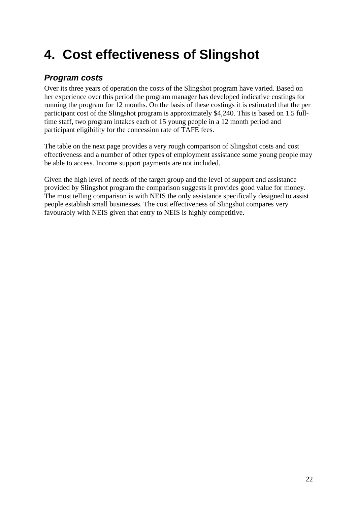# <span id="page-30-0"></span>**4. Cost effectiveness of Slingshot**

## *Program costs*

Over its three years of operation the costs of the Slingshot program have varied. Based on her experience over this period the program manager has developed indicative costings for running the program for 12 months. On the basis of these costings it is estimated that the per participant cost of the Slingshot program is approximately \$4,240. This is based on 1.5 fulltime staff, two program intakes each of 15 young people in a 12 month period and participant eligibility for the concession rate of TAFE fees.

The table on the next page provides a very rough comparison of Slingshot costs and cost effectiveness and a number of other types of employment assistance some young people may be able to access. Income support payments are not included.

Given the high level of needs of the target group and the level of support and assistance provided by Slingshot program the comparison suggests it provides good value for money. The most telling comparison is with NEIS the only assistance specifically designed to assist people establish small businesses. The cost effectiveness of Slingshot compares very favourably with NEIS given that entry to NEIS is highly competitive.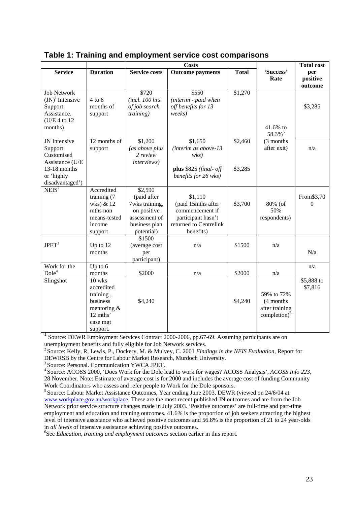|                                                                                    |                                                                                                      |                                                                                                         | <b>Costs</b>                                                                                                  |              |                                                              | <b>Total cost</b>          |
|------------------------------------------------------------------------------------|------------------------------------------------------------------------------------------------------|---------------------------------------------------------------------------------------------------------|---------------------------------------------------------------------------------------------------------------|--------------|--------------------------------------------------------------|----------------------------|
| <b>Service</b>                                                                     | <b>Duration</b>                                                                                      | <b>Service costs</b>                                                                                    | <b>Outcome payments</b>                                                                                       | <b>Total</b> | 'Success'<br>Rate                                            | per<br>positive<br>outcome |
| <b>Job Network</b><br>$(JN)^1$ Intensive<br>Support<br>Assistance.<br>(U/E 4 to 12 | $4$ to 6<br>months of<br>support                                                                     | \$720<br>(incl. 100 hrs)<br>of job search<br>training)                                                  | \$550<br>(interim - paid when<br>off benefits for 13<br>weeks)                                                | \$1,270      |                                                              | \$3,285                    |
| months)                                                                            |                                                                                                      |                                                                                                         |                                                                                                               |              | $41.6%$ to<br>58.3% <sup>5</sup>                             |                            |
| JN Intensive<br>Support<br>Customised<br>Assistance (U/E                           | 12 months of<br>support                                                                              | \$1,200<br>(as above plus<br>2 review<br><i>interviews</i> )                                            | \$1,650<br>(interim as above-13<br>wks                                                                        | \$2,460      | (3 months)<br>after exit)                                    | n/a                        |
| 13-18 months<br>or 'highly<br>disadvantaged')                                      |                                                                                                      |                                                                                                         | plus \$825 (final- off<br>benefits for 26 wks)                                                                | \$3,285      |                                                              |                            |
| NEIS <sup>2</sup>                                                                  | Accredited<br>training (7<br>wks) & 12<br>mths non<br>means-tested<br>income<br>support              | \$2,590<br>(paid after<br>7wks training,<br>on positive<br>assessment of<br>business plan<br>potential) | \$1,110<br>(paid 15mths after<br>commencement if<br>participant hasn't<br>returned to Centrelink<br>benefits) | \$3,700      | 80% (of<br>50%<br>respondents)                               | From\$3,70<br>$\Omega$     |
| JPET <sup>3</sup>                                                                  | Up to 12<br>months                                                                                   | \$1500<br>(average cost<br>per<br>participant)                                                          | n/a                                                                                                           | \$1500       | n/a                                                          | N/a                        |
| Work for the<br>Dole <sup>4</sup>                                                  | Up to $6$<br>months                                                                                  | \$2000                                                                                                  | n/a                                                                                                           | \$2000       | n/a                                                          | n/a                        |
| Slingshot                                                                          | $10$ wks<br>accredited<br>training,<br>business<br>mentoring $&$<br>12 mths'<br>case mgt<br>support. | \$4,240                                                                                                 |                                                                                                               | \$4,240      | 59% to 72%<br>(4 months<br>after training<br>completion) $6$ | \$5,888 to<br>\$7,816      |

#### **Table 1: Training and employment service cost comparisons**

<sup>1</sup> Source: DEWR Employment Services Contract 2000-2006, pp.67-69. Assuming participants are on

unemployment benefits and fully eligible for Job Network services.<br><sup>2</sup> Source: Kelly, R, Lewis, P., Dockery, M. & Mulvey, C. 2001 *Findings in the NEIS Evaluation*, Report for DEWRSB by the Centre for Labour Market Researc

<sup>3</sup> Source: Personal. Communication YWCA JPET.<br><sup>4</sup> Source: ACOSS 2000, 'Does Work for the Dole lead to work for wages? ACOSS Analysis', *ACOSS Info 223*, 28 November. Note: Estimate of average cost is for 2000 and includes the average cost of funding Community

Work Coordinators who assess and refer people to Work for the Dole sponsors.<br><sup>5</sup> Source: Labour Market Assistance Outcomes, Year ending June 2003, DEWR (viewed on 24/6/04 at [www.workplace.gov.au/workplace](http://www.workplace.gov.au/workplace). These are the most recent published JN outcomes and are from the Job Network prior service structure changes made in July 2003. 'Positive outcomes' are full-time and part-time employment and education and training outcomes. 41.6% is the proportion of job seekers attracting the highest level of intensive assistance who achieved positive outcomes and 56.8% is the proportion of 21 to 24 year-olds in *all levels* of intensive assistance achieving positive outcomes. 6

See *Education, training and employment outcomes* section earlier in this report.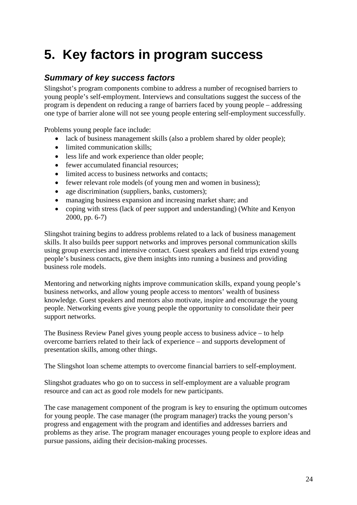# <span id="page-32-0"></span>**5. Key factors in program success**

## *Summary of key success factors*

Slingshot's program components combine to address a number of recognised barriers to young people's self-employment. Interviews and consultations suggest the success of the program is dependent on reducing a range of barriers faced by young people – addressing one type of barrier alone will not see young people entering self-employment successfully.

Problems young people face include:

- lack of business management skills (also a problem shared by older people);
- limited communication skills;
- less life and work experience than older people;
- fewer accumulated financial resources:
- limited access to business networks and contacts;
- fewer relevant role models (of young men and women in business):
- age discrimination (suppliers, banks, customers);
- managing business expansion and increasing market share; and
- coping with stress (lack of peer support and understanding) (White and Kenyon 2000, pp. 6-7)

Slingshot training begins to address problems related to a lack of business management skills. It also builds peer support networks and improves personal communication skills using group exercises and intensive contact. Guest speakers and field trips extend young people's business contacts, give them insights into running a business and providing business role models.

Mentoring and networking nights improve communication skills, expand young people's business networks, and allow young people access to mentors' wealth of business knowledge. Guest speakers and mentors also motivate, inspire and encourage the young people. Networking events give young people the opportunity to consolidate their peer support networks.

The Business Review Panel gives young people access to business advice – to help overcome barriers related to their lack of experience – and supports development of presentation skills, among other things.

The Slingshot loan scheme attempts to overcome financial barriers to self-employment.

Slingshot graduates who go on to success in self-employment are a valuable program resource and can act as good role models for new participants.

The case management component of the program is key to ensuring the optimum outcomes for young people. The case manager (the program manager) tracks the young person's progress and engagement with the program and identifies and addresses barriers and problems as they arise. The program manager encourages young people to explore ideas and pursue passions, aiding their decision-making processes.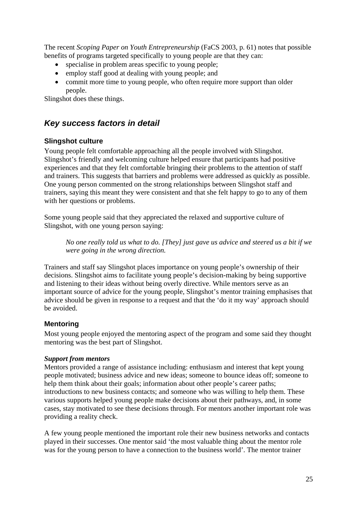<span id="page-33-0"></span>The recent *Scoping Paper on Youth Entrepreneurship* (FaCS 2003, p. 61) notes that possible benefits of programs targeted specifically to young people are that they can:

- specialise in problem areas specific to young people;
- employ staff good at dealing with young people; and
- commit more time to young people, who often require more support than older people.

Slingshot does these things.

## *Key success factors in detail*

#### **Slingshot culture**

Young people felt comfortable approaching all the people involved with Slingshot. Slingshot's friendly and welcoming culture helped ensure that participants had positive experiences and that they felt comfortable bringing their problems to the attention of staff and trainers. This suggests that barriers and problems were addressed as quickly as possible. One young person commented on the strong relationships between Slingshot staff and trainers, saying this meant they were consistent and that she felt happy to go to any of them with her questions or problems.

Some young people said that they appreciated the relaxed and supportive culture of Slingshot, with one young person saying:

*No one really told us what to do. [They] just gave us advice and steered us a bit if we were going in the wrong direction.* 

Trainers and staff say Slingshot places importance on young people's ownership of their decisions. Slingshot aims to facilitate young people's decision-making by being supportive and listening to their ideas without being overly directive. While mentors serve as an important source of advice for the young people, Slingshot's mentor training emphasises that advice should be given in response to a request and that the 'do it my way' approach should be avoided.

#### **Mentoring**

Most young people enjoyed the mentoring aspect of the program and some said they thought mentoring was the best part of Slingshot.

#### *Support from mentors*

Mentors provided a range of assistance including: enthusiasm and interest that kept young people motivated; business advice and new ideas; someone to bounce ideas off; someone to help them think about their goals; information about other people's career paths; introductions to new business contacts; and someone who was willing to help them. These various supports helped young people make decisions about their pathways, and, in some cases, stay motivated to see these decisions through. For mentors another important role was providing a reality check.

A few young people mentioned the important role their new business networks and contacts played in their successes. One mentor said 'the most valuable thing about the mentor role was for the young person to have a connection to the business world'. The mentor trainer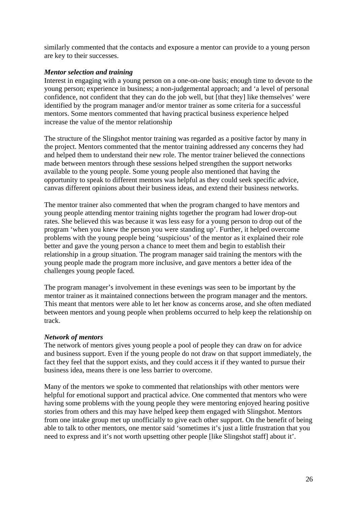similarly commented that the contacts and exposure a mentor can provide to a young person are key to their successes.

#### *Mentor selection and training*

Interest in engaging with a young person on a one-on-one basis; enough time to devote to the young person; experience in business; a non-judgemental approach; and 'a level of personal confidence, not confident that they can do the job well, but [that they] like themselves' were identified by the program manager and/or mentor trainer as some criteria for a successful mentors. Some mentors commented that having practical business experience helped increase the value of the mentor relationship

The structure of the Slingshot mentor training was regarded as a positive factor by many in the project. Mentors commented that the mentor training addressed any concerns they had and helped them to understand their new role. The mentor trainer believed the connections made between mentors through these sessions helped strengthen the support networks available to the young people. Some young people also mentioned that having the opportunity to speak to different mentors was helpful as they could seek specific advice, canvas different opinions about their business ideas, and extend their business networks.

The mentor trainer also commented that when the program changed to have mentors and young people attending mentor training nights together the program had lower drop-out rates. She believed this was because it was less easy for a young person to drop out of the program 'when you knew the person you were standing up'. Further, it helped overcome problems with the young people being 'suspicious' of the mentor as it explained their role better and gave the young person a chance to meet them and begin to establish their relationship in a group situation. The program manager said training the mentors with the young people made the program more inclusive, and gave mentors a better idea of the challenges young people faced.

The program manager's involvement in these evenings was seen to be important by the mentor trainer as it maintained connections between the program manager and the mentors. This meant that mentors were able to let her know as concerns arose, and she often mediated between mentors and young people when problems occurred to help keep the relationship on track.

#### *Network of mentors*

The network of mentors gives young people a pool of people they can draw on for advice and business support. Even if the young people do not draw on that support immediately, the fact they feel that the support exists, and they could access it if they wanted to pursue their business idea, means there is one less barrier to overcome.

Many of the mentors we spoke to commented that relationships with other mentors were helpful for emotional support and practical advice. One commented that mentors who were having some problems with the young people they were mentoring enjoyed hearing positive stories from others and this may have helped keep them engaged with Slingshot. Mentors from one intake group met up unofficially to give each other support. On the benefit of being able to talk to other mentors, one mentor said 'sometimes it's just a little frustration that you need to express and it's not worth upsetting other people [like Slingshot staff] about it'.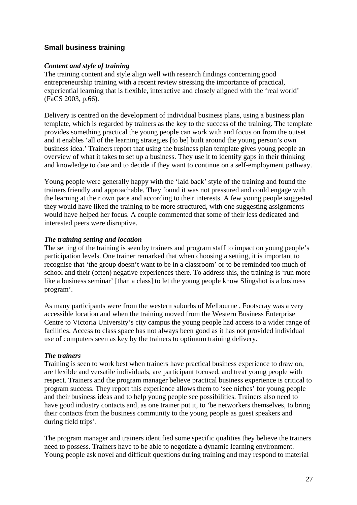#### <span id="page-35-0"></span>**Small business training**

#### *Content and style of training*

The training content and style align well with research findings concerning good entrepreneurship training with a recent review stressing the importance of practical, experiential learning that is flexible, interactive and closely aligned with the 'real world' (FaCS 2003, p.66).

Delivery is centred on the development of individual business plans, using a business plan template, which is regarded by trainers as the key to the success of the training. The template provides something practical the young people can work with and focus on from the outset and it enables 'all of the learning strategies [to be] built around the young person's own business idea.' Trainers report that using the business plan template gives young people an overview of what it takes to set up a business. They use it to identify gaps in their thinking and knowledge to date and to decide if they want to continue on a self-employment pathway.

Young people were generally happy with the 'laid back' style of the training and found the trainers friendly and approachable. They found it was not pressured and could engage with the learning at their own pace and according to their interests. A few young people suggested they would have liked the training to be more structured, with one suggesting assignments would have helped her focus. A couple commented that some of their less dedicated and interested peers were disruptive.

#### *The training setting and location*

The setting of the training is seen by trainers and program staff to impact on young people's participation levels. One trainer remarked that when choosing a setting, it is important to recognise that 'the group doesn't want to be in a classroom' or to be reminded too much of school and their (often) negative experiences there. To address this, the training is 'run more like a business seminar' [than a class] to let the young people know Slingshot is a business program'.

As many participants were from the western suburbs of Melbourne , Footscray was a very accessible location and when the training moved from the Western Business Enterprise Centre to Victoria University's city campus the young people had access to a wider range of facilities. Access to class space has not always been good as it has not provided individual use of computers seen as key by the trainers to optimum training delivery.

#### *The trainers*

Training is seen to work best when trainers have practical business experience to draw on, are flexible and versatile individuals, are participant focused, and treat young people with respect. Trainers and the program manager believe practical business experience is critical to program success. They report this experience allows them to 'see niches' for young people and their business ideas and to help young people see possibilities. Trainers also need to have good industry contacts and, as one trainer put it, to *'*be networkers themselves, to bring their contacts from the business community to the young people as guest speakers and during field trips'.

The program manager and trainers identified some specific qualities they believe the trainers need to possess. Trainers have to be able to negotiate a dynamic learning environment. Young people ask novel and difficult questions during training and may respond to material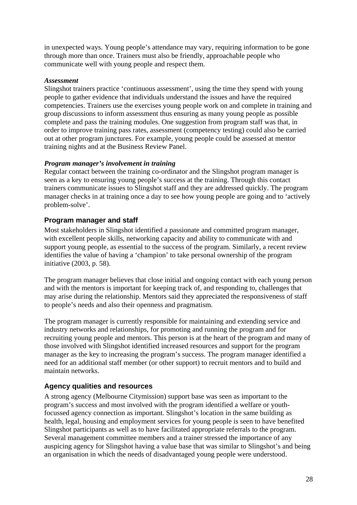<span id="page-36-0"></span>in unexpected ways. Young people's attendance may vary, requiring information to be gone through more than once. Trainers must also be friendly, approachable people who communicate well with young people and respect them.

#### *Assessment*

Slingshot trainers practice 'continuous assessment', using the time they spend with young people to gather evidence that individuals understand the issues and have the required competencies. Trainers use the exercises young people work on and complete in training and group discussions to inform assessment thus ensuring as many young people as possible complete and pass the training modules. One suggestion from program staff was that, in order to improve training pass rates, assessment (competency testing) could also be carried out at other program junctures. For example, young people could be assessed at mentor training nights and at the Business Review Panel.

#### *Program manager's involvement in training*

Regular contact between the training co-ordinator and the Slingshot program manager is seen as a key to ensuring young people's success at the training. Through this contact trainers communicate issues to Slingshot staff and they are addressed quickly. The program manager checks in at training once a day to see how young people are going and to 'actively problem-solve'.

#### **Program manager and staff**

Most stakeholders in Slingshot identified a passionate and committed program manager, with excellent people skills, networking capacity and ability to communicate with and support young people, as essential to the success of the program. Similarly, a recent review identifies the value of having a 'champion' to take personal ownership of the program initiative (2003, p. 58).

The program manager believes that close initial and ongoing contact with each young person and with the mentors is important for keeping track of, and responding to, challenges that may arise during the relationship. Mentors said they appreciated the responsiveness of staff to people's needs and also their openness and pragmatism.

The program manager is currently responsible for maintaining and extending service and industry networks and relationships, for promoting and running the program and for recruiting young people and mentors. This person is at the heart of the program and many of those involved with Slingshot identified increased resources and support for the program manager as the key to increasing the program's success. The program manager identified a need for an additional staff member (or other support) to recruit mentors and to build and maintain networks.

#### **Agency qualities and resources**

A strong agency (Melbourne Citymission) support base was seen as important to the program's success and most involved with the program identified a welfare or youthfocussed agency connection as important. Slingshot's location in the same building as health, legal, housing and employment services for young people is seen to have benefited Slingshot participants as well as to have facilitated appropriate referrals to the program. Several management committee members and a trainer stressed the importance of any auspicing agency for Slingshot having a value base that was similar to Slingshot's and being an organisation in which the needs of disadvantaged young people were understood.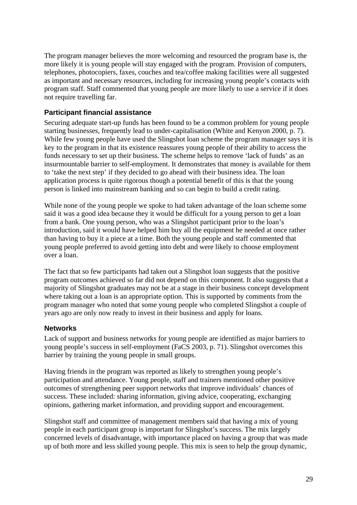<span id="page-37-0"></span>The program manager believes the more welcoming and resourced the program base is, the more likely it is young people will stay engaged with the program. Provision of computers, telephones, photocopiers, faxes, couches and tea/coffee making facilities were all suggested as important and necessary resources, including for increasing young people's contacts with program staff. Staff commented that young people are more likely to use a service if it does not require travelling far.

#### **Participant financial assistance**

Securing adequate start-up funds has been found to be a common problem for young people starting businesses, frequently lead to under-capitalisation (White and Kenyon 2000, p. 7). While few young people have used the Slingshot loan scheme the program manager says it is key to the program in that its existence reassures young people of their ability to access the funds necessary to set up their business. The scheme helps to remove 'lack of funds' as an insurmountable barrier to self-employment. It demonstrates that money is available for them to 'take the next step' if they decided to go ahead with their business idea. The loan application process is quite rigorous though a potential benefit of this is that the young person is linked into mainstream banking and so can begin to build a credit rating.

While none of the young people we spoke to had taken advantage of the loan scheme some said it was a good idea because they it would be difficult for a young person to get a loan from a bank. One young person, who was a Slingshot participant prior to the loan's introduction, said it would have helped him buy all the equipment he needed at once rather than having to buy it a piece at a time. Both the young people and staff commented that young people preferred to avoid getting into debt and were likely to choose employment over a loan.

The fact that so few participants had taken out a Slingshot loan suggests that the positive program outcomes achieved so far did not depend on this component. It also suggests that a majority of Slingshot graduates may not be at a stage in their business concept development where taking out a loan is an appropriate option. This is supported by comments from the program manager who noted that some young people who completed Slingshot a couple of years ago are only now ready to invest in their business and apply for loans.

#### **Networks**

Lack of support and business networks for young people are identified as major barriers to young people's success in self-employment (FaCS 2003, p. 71). Slingshot overcomes this barrier by training the young people in small groups.

Having friends in the program was reported as likely to strengthen young people's participation and attendance. Young people, staff and trainers mentioned other positive outcomes of strengthening peer support networks that improve individuals' chances of success. These included: sharing information, giving advice, cooperating, exchanging opinions, gathering market information, and providing support and encouragement.

Slingshot staff and committee of management members said that having a mix of young people in each participant group is important for Slingshot's success. The mix largely concerned levels of disadvantage, with importance placed on having a group that was made up of both more and less skilled young people. This mix is seen to help the group dynamic,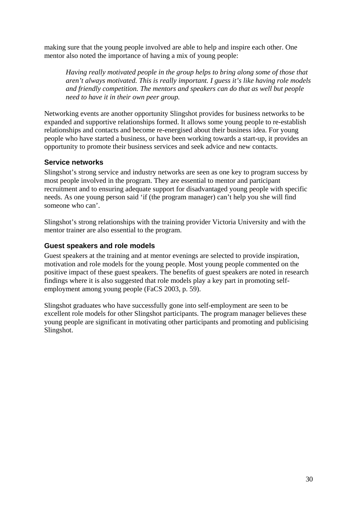<span id="page-38-0"></span>making sure that the young people involved are able to help and inspire each other. One mentor also noted the importance of having a mix of young people:

*Having really motivated people in the group helps to bring along some of those that aren't always motivated. This is really important. I guess it's like having role models and friendly competition. The mentors and speakers can do that as well but people need to have it in their own peer group.* 

Networking events are another opportunity Slingshot provides for business networks to be expanded and supportive relationships formed. It allows some young people to re-establish relationships and contacts and become re-energised about their business idea. For young people who have started a business, or have been working towards a start-up, it provides an opportunity to promote their business services and seek advice and new contacts.

#### **Service networks**

Slingshot's strong service and industry networks are seen as one key to program success by most people involved in the program. They are essential to mentor and participant recruitment and to ensuring adequate support for disadvantaged young people with specific needs. As one young person said 'if (the program manager) can't help you she will find someone who can'.

Slingshot's strong relationships with the training provider Victoria University and with the mentor trainer are also essential to the program.

#### **Guest speakers and role models**

Guest speakers at the training and at mentor evenings are selected to provide inspiration, motivation and role models for the young people. Most young people commented on the positive impact of these guest speakers. The benefits of guest speakers are noted in research findings where it is also suggested that role models play a key part in promoting selfemployment among young people (FaCS 2003, p. 59).

Slingshot graduates who have successfully gone into self-employment are seen to be excellent role models for other Slingshot participants. The program manager believes these young people are significant in motivating other participants and promoting and publicising Slingshot.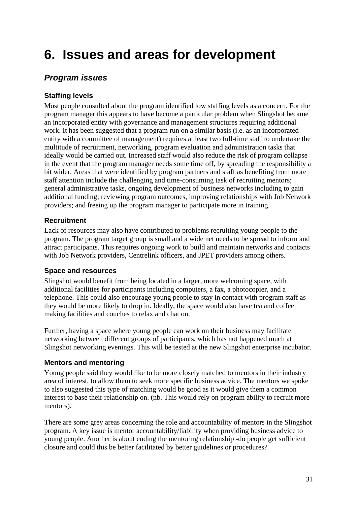# <span id="page-39-0"></span>**6. Issues and areas for development**

### *Program issues*

#### **Staffing levels**

Most people consulted about the program identified low staffing levels as a concern. For the program manager this appears to have become a particular problem when Slingshot became an incorporated entity with governance and management structures requiring additional work. It has been suggested that a program run on a similar basis (i.e. as an incorporated entity with a committee of management) requires at least two full-time staff to undertake the multitude of recruitment, networking, program evaluation and administration tasks that ideally would be carried out. Increased staff would also reduce the risk of program collapse in the event that the program manager needs some time off, by spreading the responsibility a bit wider. Areas that were identified by program partners and staff as benefiting from more staff attention include the challenging and time-consuming task of recruiting mentors; general administrative tasks, ongoing development of business networks including to gain additional funding; reviewing program outcomes, improving relationships with Job Network providers; and freeing up the program manager to participate more in training.

#### **Recruitment**

Lack of resources may also have contributed to problems recruiting young people to the program. The program target group is small and a wide net needs to be spread to inform and attract participants. This requires ongoing work to build and maintain networks and contacts with Job Network providers, Centrelink officers, and JPET providers among others.

#### **Space and resources**

Slingshot would benefit from being located in a larger, more welcoming space, with additional facilities for participants including computers, a fax, a photocopier, and a telephone. This could also encourage young people to stay in contact with program staff as they would be more likely to drop in. Ideally, the space would also have tea and coffee making facilities and couches to relax and chat on.

Further, having a space where young people can work on their business may facilitate networking between different groups of participants, which has not happened much at Slingshot networking evenings. This will be tested at the new Slingshot enterprise incubator.

#### **Mentors and mentoring**

Young people said they would like to be more closely matched to mentors in their industry area of interest, to allow them to seek more specific business advice. The mentors we spoke to also suggested this type of matching would be good as it would give them a common interest to base their relationship on. (nb. This would rely on program ability to recruit more mentors).

There are some grey areas concerning the role and accountability of mentors in the Slingshot program. A key issue is mentor accountability/liability when providing business advice to young people. Another is about ending the mentoring relationship -do people get sufficient closure and could this be better facilitated by better guidelines or procedures?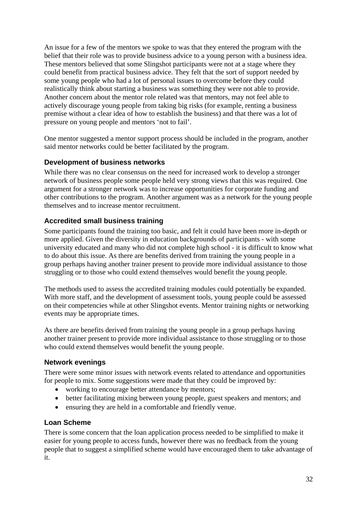<span id="page-40-0"></span>An issue for a few of the mentors we spoke to was that they entered the program with the belief that their role was to provide business advice to a young person with a business idea. These mentors believed that some Slingshot participants were not at a stage where they could benefit from practical business advice. They felt that the sort of support needed by some young people who had a lot of personal issues to overcome before they could realistically think about starting a business was something they were not able to provide. Another concern about the mentor role related was that mentors, may not feel able to actively discourage young people from taking big risks (for example, renting a business premise without a clear idea of how to establish the business) and that there was a lot of pressure on young people and mentors 'not to fail'.

One mentor suggested a mentor support process should be included in the program, another said mentor networks could be better facilitated by the program.

#### **Development of business networks**

While there was no clear consensus on the need for increased work to develop a stronger network of business people some people held very strong views that this was required. One argument for a stronger network was to increase opportunities for corporate funding and other contributions to the program. Another argument was as a network for the young people themselves and to increase mentor recruitment.

#### **Accredited small business training**

Some participants found the training too basic, and felt it could have been more in-depth or more applied. Given the diversity in education backgrounds of participants - with some university educated and many who did not complete high school - it is difficult to know what to do about this issue. As there are benefits derived from training the young people in a group perhaps having another trainer present to provide more individual assistance to those struggling or to those who could extend themselves would benefit the young people.

The methods used to assess the accredited training modules could potentially be expanded. With more staff, and the development of assessment tools, young people could be assessed on their competencies while at other Slingshot events. Mentor training nights or networking events may be appropriate times.

As there are benefits derived from training the young people in a group perhaps having another trainer present to provide more individual assistance to those struggling or to those who could extend themselves would benefit the young people.

#### **Network evenings**

There were some minor issues with network events related to attendance and opportunities for people to mix. Some suggestions were made that they could be improved by:

- working to encourage better attendance by mentors;
- better facilitating mixing between young people, guest speakers and mentors; and
- ensuring they are held in a comfortable and friendly venue.

#### **Loan Scheme**

There is some concern that the loan application process needed to be simplified to make it easier for young people to access funds, however there was no feedback from the young people that to suggest a simplified scheme would have encouraged them to take advantage of it.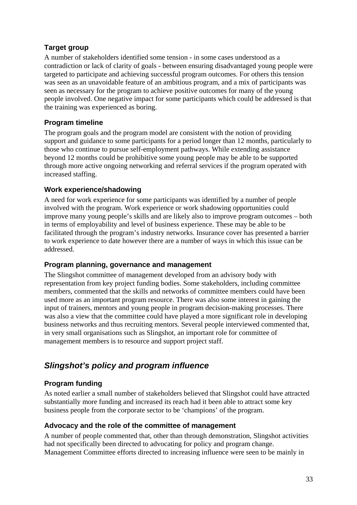#### <span id="page-41-0"></span>**Target group**

A number of stakeholders identified some tension - in some cases understood as a contradiction or lack of clarity of goals - between ensuring disadvantaged young people were targeted to participate and achieving successful program outcomes. For others this tension was seen as an unavoidable feature of an ambitious program, and a mix of participants was seen as necessary for the program to achieve positive outcomes for many of the young people involved. One negative impact for some participants which could be addressed is that the training was experienced as boring.

#### **Program timeline**

The program goals and the program model are consistent with the notion of providing support and guidance to some participants for a period longer than 12 months, particularly to those who continue to pursue self-employment pathways. While extending assistance beyond 12 months could be prohibitive some young people may be able to be supported through more active ongoing networking and referral services if the program operated with increased staffing.

#### **Work experience/shadowing**

A need for work experience for some participants was identified by a number of people involved with the program. Work experience or work shadowing opportunities could improve many young people's skills and are likely also to improve program outcomes – both in terms of employability and level of business experience. These may be able to be facilitated through the program's industry networks. Insurance cover has presented a barrier to work experience to date however there are a number of ways in which this issue can be addressed.

#### **Program planning, governance and management**

The Slingshot committee of management developed from an advisory body with representation from key project funding bodies. Some stakeholders, including committee members, commented that the skills and networks of committee members could have been used more as an important program resource. There was also some interest in gaining the input of trainers, mentors and young people in program decision-making processes. There was also a view that the committee could have played a more significant role in developing business networks and thus recruiting mentors. Several people interviewed commented that, in very small organisations such as Slingshot, an important role for committee of management members is to resource and support project staff.

## *Slingshot's policy and program influence*

### **Program funding**

As noted earlier a small number of stakeholders believed that Slingshot could have attracted substantially more funding and increased its reach had it been able to attract some key business people from the corporate sector to be 'champions' of the program.

#### **Advocacy and the role of the committee of management**

A number of people commented that, other than through demonstration, Slingshot activities had not specifically been directed to advocating for policy and program change. Management Committee efforts directed to increasing influence were seen to be mainly in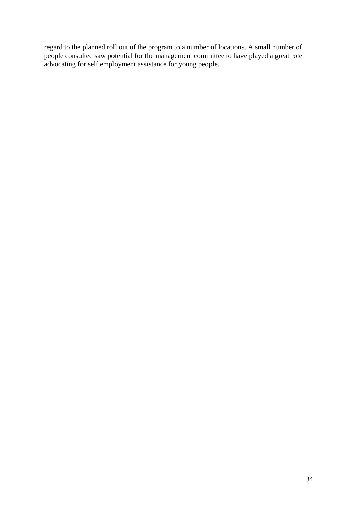regard to the planned roll out of the program to a number of locations. A small number of people consulted saw potential for the management committee to have played a great role advocating for self employment assistance for young people.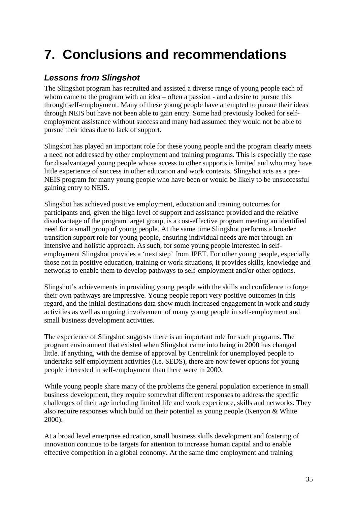# <span id="page-43-0"></span>**7. Conclusions and recommendations**

## *Lessons from Slingshot*

The Slingshot program has recruited and assisted a diverse range of young people each of whom came to the program with an idea – often a passion - and a desire to pursue this through self-employment. Many of these young people have attempted to pursue their ideas through NEIS but have not been able to gain entry. Some had previously looked for selfemployment assistance without success and many had assumed they would not be able to pursue their ideas due to lack of support.

Slingshot has played an important role for these young people and the program clearly meets a need not addressed by other employment and training programs. This is especially the case for disadvantaged young people whose access to other supports is limited and who may have little experience of success in other education and work contexts. Slingshot acts as a pre-NEIS program for many young people who have been or would be likely to be unsuccessful gaining entry to NEIS.

Slingshot has achieved positive employment, education and training outcomes for participants and, given the high level of support and assistance provided and the relative disadvantage of the program target group, is a cost-effective program meeting an identified need for a small group of young people. At the same time Slingshot performs a broader transition support role for young people, ensuring individual needs are met through an intensive and holistic approach. As such, for some young people interested in selfemployment Slingshot provides a 'next step' from JPET. For other young people, especially those not in positive education, training or work situations, it provides skills, knowledge and networks to enable them to develop pathways to self-employment and/or other options.

Slingshot's achievements in providing young people with the skills and confidence to forge their own pathways are impressive. Young people report very positive outcomes in this regard, and the initial destinations data show much increased engagement in work and study activities as well as ongoing involvement of many young people in self-employment and small business development activities.

The experience of Slingshot suggests there is an important role for such programs. The program environment that existed when Slingshot came into being in 2000 has changed little. If anything, with the demise of approval by Centrelink for unemployed people to undertake self employment activities (i.e. SEDS), there are now fewer options for young people interested in self-employment than there were in 2000.

While young people share many of the problems the general population experience in small business development, they require somewhat different responses to address the specific challenges of their age including limited life and work experience, skills and networks. They also require responses which build on their potential as young people (Kenyon & White 2000).

At a broad level enterprise education, small business skills development and fostering of innovation continue to be targets for attention to increase human capital and to enable effective competition in a global economy. At the same time employment and training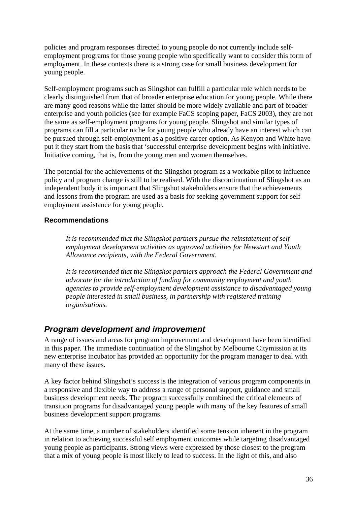<span id="page-44-0"></span>policies and program responses directed to young people do not currently include selfemployment programs for those young people who specifically want to consider this form of employment. In these contexts there is a strong case for small business development for young people.

Self-employment programs such as Slingshot can fulfill a particular role which needs to be clearly distinguished from that of broader enterprise education for young people. While there are many good reasons while the latter should be more widely available and part of broader enterprise and youth policies (see for example FaCS scoping paper, FaCS 2003), they are not the same as self-employment programs for young people. Slingshot and similar types of programs can fill a particular niche for young people who already have an interest which can be pursued through self-employment as a positive career option. As Kenyon and White have put it they start from the basis that 'successful enterprise development begins with initiative. Initiative coming, that is, from the young men and women themselves.

The potential for the achievements of the Slingshot program as a workable pilot to influence policy and program change is still to be realised. With the discontinuation of Slingshot as an independent body it is important that Slingshot stakeholders ensure that the achievements and lessons from the program are used as a basis for seeking government support for self employment assistance for young people.

#### **Recommendations**

*It is recommended that the Slingshot partners pursue the reinstatement of self employment development activities as approved activities for Newstart and Youth Allowance recipients, with the Federal Government.* 

*It is recommended that the Slingshot partners approach the Federal Government and advocate for the introduction of funding for community employment and youth agencies to provide self-employment development assistance to disadvantaged young people interested in small business, in partnership with registered training organisations.* 

#### *Program development and improvement*

A range of issues and areas for program improvement and development have been identified in this paper. The immediate continuation of the Slingshot by Melbourne Citymission at its new enterprise incubator has provided an opportunity for the program manager to deal with many of these issues.

A key factor behind Slingshot's success is the integration of various program components in a responsive and flexible way to address a range of personal support, guidance and small business development needs. The program successfully combined the critical elements of transition programs for disadvantaged young people with many of the key features of small business development support programs.

At the same time, a number of stakeholders identified some tension inherent in the program in relation to achieving successful self employment outcomes while targeting disadvantaged young people as participants. Strong views were expressed by those closest to the program that a mix of young people is most likely to lead to success. In the light of this, and also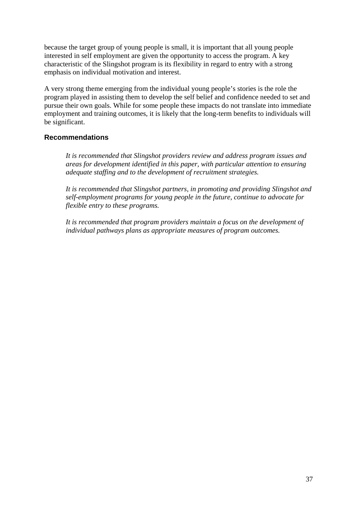<span id="page-45-0"></span>because the target group of young people is small, it is important that all young people interested in self employment are given the opportunity to access the program. A key characteristic of the Slingshot program is its flexibility in regard to entry with a strong emphasis on individual motivation and interest.

A very strong theme emerging from the individual young people's stories is the role the program played in assisting them to develop the self belief and confidence needed to set and pursue their own goals. While for some people these impacts do not translate into immediate employment and training outcomes, it is likely that the long-term benefits to individuals will be significant.

#### **Recommendations**

*It is recommended that Slingshot providers review and address program issues and areas for development identified in this paper, with particular attention to ensuring adequate staffing and to the development of recruitment strategies.* 

*It is recommended that Slingshot partners, in promoting and providing Slingshot and self-employment programs for young people in the future, continue to advocate for flexible entry to these programs.* 

*It is recommended that program providers maintain a focus on the development of individual pathways plans as appropriate measures of program outcomes.*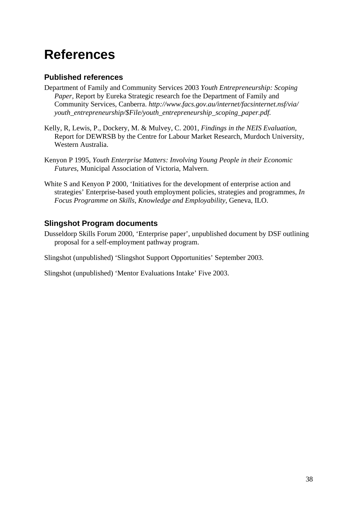# **References**

### **Published references**

- Department of Family and Community Services 2003 *Youth Entrepreneurship: Scoping Paper,* Report by Eureka Strategic research foe the Department of Family and Community Services, Canberra. *http://www.facs.gov.au/internet/facsinternet.nsf/via/ youth\_entrepreneurship/\$File/youth\_entrepreneurship\_scoping\_paper.pdf.*
- Kelly, R, Lewis, P., Dockery, M. & Mulvey, C. 2001, *Findings in the NEIS Evaluation,*  Report for DEWRSB by the Centre for Labour Market Research, Murdoch University, Western Australia.
- Kenyon P 1995, *Youth Enterprise Matters: Involving Young People in their Economic Futures*, Municipal Association of Victoria, Malvern.
- White S and Kenyon P 2000, 'Initiatives for the development of enterprise action and strategies' Enterprise-based youth employment policies, strategies and programmes, *In Focus Programme on Skills, Knowledge and Employability*, Geneva, ILO.

### **Slingshot Program documents**

Dusseldorp Skills Forum 2000, 'Enterprise paper', unpublished document by DSF outlining proposal for a self-employment pathway program.

Slingshot (unpublished) 'Slingshot Support Opportunities' September 2003.

Slingshot (unpublished) 'Mentor Evaluations Intake' Five 2003.